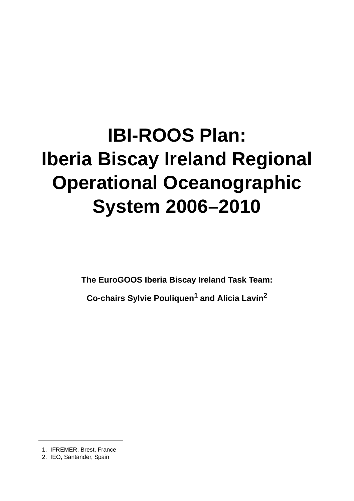# **IBI-ROOS Plan: Iberia Biscay Ireland Regional Operational Oceanographic System 2006–2010**

**The EuroGOOS Iberia Biscay Ireland Task Team:**

**Co-chairs Sylvie Pouliquen1 and Alicia Lavín2**

1. IFREMER, Brest, France

<sup>2.</sup> IEO, Santander, Spain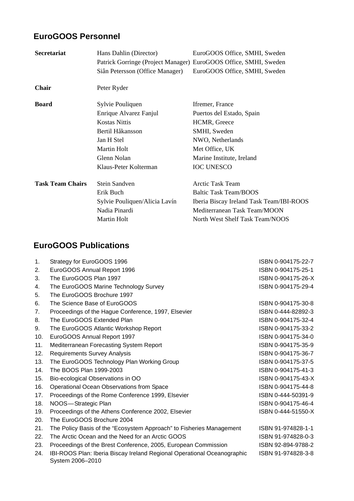# **EuroGOOS Personnel**

| <b>Secretariat</b>      | Hans Dahlin (Director)<br>Patrick Gorringe (Project Manager) EuroGOOS Office, SMHI, Sweden<br>Siân Petersson (Office Manager) | EuroGOOS Office, SMHI, Sweden<br>EuroGOOS Office, SMHI, Sweden |
|-------------------------|-------------------------------------------------------------------------------------------------------------------------------|----------------------------------------------------------------|
| <b>Chair</b>            | Peter Ryder                                                                                                                   |                                                                |
| <b>Board</b>            | Sylvie Pouliquen                                                                                                              | Ifremer, France                                                |
|                         | Enrique Alvarez Fanjul                                                                                                        | Puertos del Estado, Spain                                      |
|                         | <b>Kostas Nittis</b>                                                                                                          | HCMR, Greece                                                   |
|                         | Bertil Håkansson                                                                                                              | SMHI, Sweden                                                   |
|                         | Jan H Stel                                                                                                                    | NWO, Netherlands                                               |
|                         | Martin Holt                                                                                                                   | Met Office, UK                                                 |
|                         | Glenn Nolan                                                                                                                   | Marine Institute, Ireland                                      |
|                         | Klaus-Peter Kolterman                                                                                                         | <b>IOC UNESCO</b>                                              |
| <b>Task Team Chairs</b> | Stein Sandven                                                                                                                 | Arctic Task Team                                               |
|                         | Erik Buch                                                                                                                     | <b>Baltic Task Team/BOOS</b>                                   |
|                         | Sylvie Pouliquen/Alicia Lavín                                                                                                 | Iberia Biscay Ireland Task Team/IBI-ROOS                       |
|                         | Nadia Pinardi                                                                                                                 | Mediterranean Task Team/MOON                                   |
|                         | Martin Holt                                                                                                                   | North West Shelf Task Team/NOOS                                |

# **EuroGOOS Publications**

| 1.             | Strategy for EuroGOOS 1996                                                                  | ISBN 0-904175-22-7 |
|----------------|---------------------------------------------------------------------------------------------|--------------------|
| 2.             | EuroGOOS Annual Report 1996                                                                 | ISBN 0-904175-25-1 |
| 3.             | The EuroGOOS Plan 1997                                                                      | ISBN 0-904175-26-X |
| 4.             | The EuroGOOS Marine Technology Survey                                                       | ISBN 0-904175-29-4 |
| 5.             | The EuroGOOS Brochure 1997                                                                  |                    |
| 6.             | The Science Base of EuroGOOS                                                                | ISBN 0-904175-30-8 |
| 7 <sub>1</sub> | Proceedings of the Hague Conference, 1997, Elsevier                                         | ISBN 0-444-82892-3 |
| 8.             | The EuroGOOS Extended Plan                                                                  | ISBN 0-904175-32-4 |
| 9.             | The EuroGOOS Atlantic Workshop Report                                                       | ISBN 0-904175-33-2 |
| 10.            | EuroGOOS Annual Report 1997                                                                 | ISBN 0-904175-34-0 |
| 11.            | Mediterranean Forecasting System Report                                                     | ISBN 0-904175-35-9 |
| 12.            | <b>Requirements Survey Analysis</b>                                                         | ISBN 0-904175-36-7 |
| 13.            | The EuroGOOS Technology Plan Working Group                                                  | ISBN 0-904175-37-5 |
| 14.            | The BOOS Plan 1999-2003                                                                     | ISBN 0-904175-41-3 |
| 15.            | Bio-ecological Observations in OO                                                           | ISBN 0-904175-43-X |
| 16.            | Operational Ocean Observations from Space                                                   | ISBN 0-904175-44-8 |
| 17.            | Proceedings of the Rome Conference 1999, Elsevier                                           | ISBN 0-444-50391-9 |
| 18.            | NOOS-Strategic Plan                                                                         | ISBN 0-904175-46-4 |
| 19.            | Proceedings of the Athens Conference 2002, Elsevier                                         | ISBN 0-444-51550-X |
| 20.            | The EuroGOOS Brochure 2004                                                                  |                    |
| 21.            | The Policy Basis of the "Ecosystem Approach" to Fisheries Management                        | ISBN 91-974828-1-1 |
| 22.            | The Arctic Ocean and the Need for an Arctic GOOS                                            | ISBN 91-974828-0-3 |
| 23.            | Proceedings of the Brest Conference, 2005, European Commission                              | ISBN 92-894-9788-2 |
| 24.            | IBI-ROOS Plan: Iberia Biscay Ireland Regional Operational Oceanographic<br>System 2006-2010 | ISBN 91-974828-3-8 |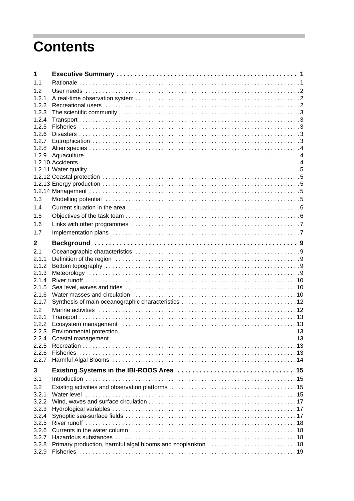# **Contents**

| 1              |                                                                                                                                                                                                                                |  |
|----------------|--------------------------------------------------------------------------------------------------------------------------------------------------------------------------------------------------------------------------------|--|
| 1.1            |                                                                                                                                                                                                                                |  |
| 1.2            |                                                                                                                                                                                                                                |  |
| 1.2.1          |                                                                                                                                                                                                                                |  |
| 1.2.2          | Recreational users interestinal example and contact the contract of the contract of the contract of the contract of the contract of the contract of the contract of the contract of the contract of the contract of the contra |  |
| 1.2.3          |                                                                                                                                                                                                                                |  |
| 1.2.4<br>1.2.5 |                                                                                                                                                                                                                                |  |
| 1.2.6          |                                                                                                                                                                                                                                |  |
| 1.2.7          |                                                                                                                                                                                                                                |  |
| 1.2.8          |                                                                                                                                                                                                                                |  |
| 1.2.9          |                                                                                                                                                                                                                                |  |
|                |                                                                                                                                                                                                                                |  |
|                |                                                                                                                                                                                                                                |  |
|                |                                                                                                                                                                                                                                |  |
|                |                                                                                                                                                                                                                                |  |
|                |                                                                                                                                                                                                                                |  |
| 1.3            |                                                                                                                                                                                                                                |  |
| 1.4            |                                                                                                                                                                                                                                |  |
| 1.5            |                                                                                                                                                                                                                                |  |
| 1.6            |                                                                                                                                                                                                                                |  |
| 1.7            |                                                                                                                                                                                                                                |  |
|                |                                                                                                                                                                                                                                |  |
| $\mathbf 2$    |                                                                                                                                                                                                                                |  |
| 2.1            |                                                                                                                                                                                                                                |  |
| 2.1.1          |                                                                                                                                                                                                                                |  |
| 2.1.2          |                                                                                                                                                                                                                                |  |
| 2.1.3          |                                                                                                                                                                                                                                |  |
| 2.1.4          |                                                                                                                                                                                                                                |  |
| 2.1.5<br>2.1.6 |                                                                                                                                                                                                                                |  |
| 2.1.7          |                                                                                                                                                                                                                                |  |
| 2.2            |                                                                                                                                                                                                                                |  |
| 2.2.1          |                                                                                                                                                                                                                                |  |
| 2.2.2          |                                                                                                                                                                                                                                |  |
| 2.2.3          |                                                                                                                                                                                                                                |  |
| 2.2.4          |                                                                                                                                                                                                                                |  |
| 2.2.5          |                                                                                                                                                                                                                                |  |
| 2.2.6          |                                                                                                                                                                                                                                |  |
| 2.2.7          |                                                                                                                                                                                                                                |  |
| 3              |                                                                                                                                                                                                                                |  |
| 3.1            |                                                                                                                                                                                                                                |  |
|                |                                                                                                                                                                                                                                |  |
| 3.2            |                                                                                                                                                                                                                                |  |
| 3.2.1<br>3.2.2 |                                                                                                                                                                                                                                |  |
| 3.2.3          |                                                                                                                                                                                                                                |  |
| 3.2.4          |                                                                                                                                                                                                                                |  |
| 3.2.5          |                                                                                                                                                                                                                                |  |
| 3.2.6          |                                                                                                                                                                                                                                |  |
| 3.2.7          |                                                                                                                                                                                                                                |  |
| 3.2.8          |                                                                                                                                                                                                                                |  |
| 3.2.9          |                                                                                                                                                                                                                                |  |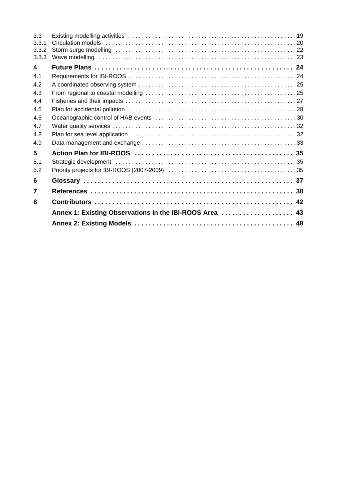| 3.3<br>3.3.1<br>3.3.2<br>3.3.3 | Storm surge modelling (and according of the contract of the contract of the contract of the storm of the state of the state of the state of the state of the state of the state of the state of the state of the state of the |
|--------------------------------|-------------------------------------------------------------------------------------------------------------------------------------------------------------------------------------------------------------------------------|
| 4                              |                                                                                                                                                                                                                               |
| 41                             |                                                                                                                                                                                                                               |
| 4.2                            |                                                                                                                                                                                                                               |
| 4.3                            |                                                                                                                                                                                                                               |
| 4.4                            |                                                                                                                                                                                                                               |
| 4.5                            | Plan for accidental pollution (and accommunity) and the control of the control of the control of the control of                                                                                                               |
| 4.6                            |                                                                                                                                                                                                                               |
| 4.7                            |                                                                                                                                                                                                                               |
| 4.8                            |                                                                                                                                                                                                                               |
| 4.9                            |                                                                                                                                                                                                                               |
| 5                              |                                                                                                                                                                                                                               |
| 5.1                            |                                                                                                                                                                                                                               |
| 5.2                            |                                                                                                                                                                                                                               |
| 6                              |                                                                                                                                                                                                                               |
| 7                              |                                                                                                                                                                                                                               |
| 8                              |                                                                                                                                                                                                                               |
|                                | Annex 1: Existing Observations in the IBI-ROOS Area  43                                                                                                                                                                       |
|                                |                                                                                                                                                                                                                               |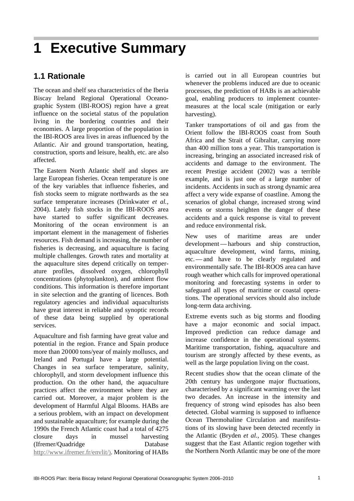# **1 Executive Summary**

# **1.1 Rationale**

The ocean and shelf sea characteristics of the Iberia Biscay Ireland Regional Operational Oceanographic System (IBI-ROOS) region have a great influence on the societal status of the population living in the bordering countries and their economies. A large proportion of the population in the IBI-ROOS area lives in areas influenced by the Atlantic. Air and ground transportation, heating, construction, sports and leisure, health, etc. are also affected.

The Eastern North Atlantic shelf and slopes are large European fisheries. Ocean temperature is one of the key variables that influence fisheries, and fish stocks seem to migrate northwards as the sea surface temperature increases (Drinkwater *et al.*, 2004). Lately fish stocks in the IBI-ROOS area have started to suffer significant decreases. Monitoring of the ocean environment is an important element in the management of fisheries resources. Fish demand is increasing, the number of fisheries is decreasing, and aquaculture is facing multiple challenges. Growth rates and mortality at the aquaculture sites depend critically on temperature profiles, dissolved oxygen, chlorophyll concentrations (phytoplankton), and ambient flow conditions. This information is therefore important in site selection and the granting of licences. Both regulatory agencies and individual aquaculturists have great interest in reliable and synoptic records of these data being supplied by operational services.

Aquaculture and fish farming have great value and potential in the region. France and Spain produce more than 20000 tons/year of mainly molluscs, and Ireland and Portugal have a large potential. Changes in sea surface temperature, salinity, chlorophyll, and storm development influence this production. On the other hand, the aquaculture practices affect the environment where they are carried out. Moreover, a major problem is the development of Harmful Algal Blooms. HABs are a serious problem, with an impact on development and sustainable aquaculture; for example during the 1990s the French Atlantic coast had a total of 4275 closure days in mussel harvesting (Ifremer/Quadridge Database http://www.ifremer.fr/envlit/). Monitoring of HABs

is carried out in all European countries but whenever the problems induced are due to oceanic processes, the prediction of HABs is an achievable goal, enabling producers to implement countermeasures at the local scale (mitigation or early harvesting).

Tanker transportations of oil and gas from the Orient follow the IBI-ROOS coast from South Africa and the Strait of Gibraltar, carrying more than 400 million tons a year. This transportation is increasing, bringing an associated increased risk of accidents and damage to the environment. The recent Prestige accident (2002) was a terrible example, and is just one of a large number of incidents. Accidents in such as strong dynamic area affect a very wide expanse of coastline. Among the scenarios of global change, increased strong wind events or storms heighten the danger of these accidents and a quick response is vital to prevent and reduce environmental risk.

New uses of maritime areas are under development — harbours and ship construction, aquaculture development, wind farms, mining, etc. — and have to be clearly regulated and environmentally safe. The IBI-ROOS area can have rough weather which calls for improved operational monitoring and forecasting systems in order to safeguard all types of maritime or coastal operations. The operational services should also include long-term data archiving.

Extreme events such as big storms and flooding have a major economic and social impact. Improved prediction can reduce damage and increase confidence in the operational systems. Maritime transportation, fishing, aquaculture and tourism are strongly affected by these events, as well as the large population living on the coast.

Recent studies show that the ocean climate of the 20th century has undergone major fluctuations, characterised by a significant warming over the last two decades. An increase in the intensity and frequency of strong wind episodes has also been detected. Global warming is supposed to influence Ocean Thermohaline Circulation and manifestations of its slowing have been detected recently in the Atlantic (Bryden *et al.*, 2005). These changes suggest that the East Atlantic region together with the Northern North Atlantic may be one of the more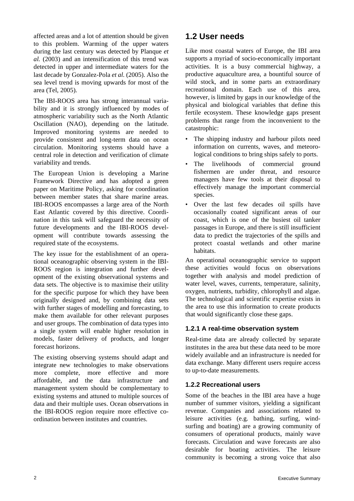affected areas and a lot of attention should be given to this problem. Warming of the upper waters during the last century was detected by Planque *et al.* (2003) and an intensification of this trend was detected in upper and intermediate waters for the last decade by Gonzalez-Pola *et al.* (2005). Also the sea level trend is moving upwards for most of the area (Tel, 2005).

The IBI-ROOS area has strong interannual variability and it is strongly influenced by modes of atmospheric variability such as the North Atlantic Oscillation (NAO), depending on the latitude. Improved monitoring systems are needed to provide consistent and long-term data on ocean circulation. Monitoring systems should have a central role in detection and verification of climate variability and trends.

The European Union is developing a Marine Framework Directive and has adopted a green paper on Maritime Policy, asking for coordination between member states that share marine areas. IBI-ROOS encompasses a large area of the North East Atlantic covered by this directive. Coordination in this task will safeguard the necessity of future developments and the IBI-ROOS development will contribute towards assessing the required state of the ecosystems.

The key issue for the establishment of an operational oceanographic observing system in the IBI-ROOS region is integration and further development of the existing observational systems and data sets. The objective is to maximise their utility for the specific purpose for which they have been originally designed and, by combining data sets with further stages of modelling and forecasting, to make them available for other relevant purposes and user groups. The combination of data types into a single system will enable higher resolution in models, faster delivery of products, and longer forecast horizons.

The existing observing systems should adapt and integrate new technologies to make observations more complete, more effective and more affordable, and the data infrastructure and management system should be complementary to existing systems and attuned to multiple sources of data and their multiple uses. Ocean observations in the IBI-ROOS region require more effective coordination between institutes and countries.

# **1.2 User needs**

Like most coastal waters of Europe, the IBI area supports a myriad of socio-economically important activities. It is a busy commercial highway, a productive aquaculture area, a bountiful source of wild stock, and in some parts an extraordinary recreational domain. Each use of this area, however, is limited by gaps in our knowledge of the physical and biological variables that define this fertile ecosystem. These knowledge gaps present problems that range from the inconvenient to the catastrophic:

- The shipping industry and harbour pilots need information on currents, waves, and meteorological conditions to bring ships safely to ports.
- The livelihoods of commercial ground fishermen are under threat, and resource managers have few tools at their disposal to effectively manage the important commercial species.
- Over the last few decades oil spills have occasionally coated significant areas of our coast, which is one of the busiest oil tanker passages in Europe, and there is still insufficient data to predict the trajectories of the spills and protect coastal wetlands and other marine habitats.

An operational oceanographic service to support these activities would focus on observations together with analysis and model prediction of water level, waves, currents, temperature, salinity, oxygen, nutrients, turbidity, chlorophyll and algae. The technological and scientific expertise exists in the area to use this information to create products that would significantly close these gaps.

### **1.2.1 A real-time observation system**

Real-time data are already collected by separate institutes in the area but these data need to be more widely available and an infrastructure is needed for data exchange. Many different users require access to up-to-date measurements.

### **1.2.2 Recreational users**

Some of the beaches in the IBI area have a huge number of summer visitors, yielding a significant revenue. Companies and associations related to leisure activities (e.g. bathing, surfing, windsurfing and boating) are a growing community of consumers of operational products, mainly wave forecasts. Circulation and wave forecasts are also desirable for boating activities. The leisure community is becoming a strong voice that also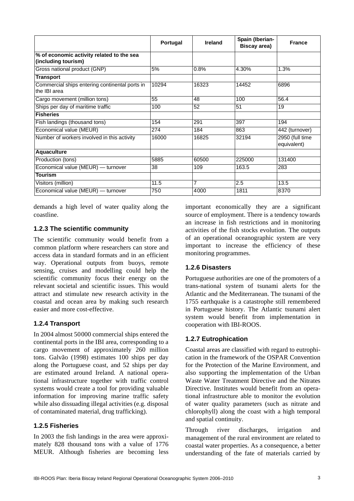|                                                                  | Portugal | Ireland | Spain (Iberian-<br>Biscay area) | <b>France</b>                  |
|------------------------------------------------------------------|----------|---------|---------------------------------|--------------------------------|
| % of economic activity related to the sea<br>(including tourism) |          |         |                                 |                                |
| Gross national product (GNP)                                     | 5%       | 0.8%    | 4.30%                           | 1.3%                           |
| <b>Transport</b>                                                 |          |         |                                 |                                |
| Commercial ships entering continental ports in<br>the IBI area   | 10294    | 16323   | 14452                           | 6896                           |
| Cargo movement (million tons)                                    | 55       | 48      | 100                             | 56.4                           |
| Ships per day of maritime traffic                                | 100      | 52      | 51                              | 19                             |
| <b>Fisheries</b>                                                 |          |         |                                 |                                |
| Fish landings (thousand tons)                                    | 154      | 291     | 397                             | 194                            |
| Economical value (MEUR)                                          | 274      | 184     | 863                             | 442 (turnover)                 |
| Number of workers involved in this activity                      | 16000    | 16825   | 32194                           | 2950 (full time<br>equivalent) |
| <b>Aquaculture</b>                                               |          |         |                                 |                                |
| Production (tons)                                                | 5885     | 60500   | 225000                          | 131400                         |
| Economical value (MEUR) - turnover                               | 38       | 109     | 163.5                           | 283                            |
| <b>Tourism</b>                                                   |          |         |                                 |                                |
| Visitors (million)                                               | 11.5     | 7       | 2.5                             | 13.5                           |
| Economical value (MEUR) — turnover                               | 750      | 4000    | 1811                            | 8370                           |

demands a high level of water quality along the coastline.

### **1.2.3 The scientific community**

The scientific community would benefit from a common platform where researchers can store and access data in standard formats and in an efficient way. Operational outputs from buoys, remote sensing, cruises and modelling could help the scientific community focus their energy on the relevant societal and scientific issues. This would attract and stimulate new research activity in the coastal and ocean area by making such research easier and more cost-effective.

### **1.2.4 Transport**

In 2004 almost 50000 commercial ships entered the continental ports in the IBI area, corresponding to a cargo movement of approximately 260 million tons. Galvão (1998) estimates 100 ships per day along the Portuguese coast, and 52 ships per day are estimated around Ireland. A national operational infrastructure together with traffic control systems would create a tool for providing valuable information for improving marine traffic safety while also dissuading illegal activities (e.g. disposal of contaminated material, drug trafficking).

### **1.2.5 Fisheries**

In 2003 the fish landings in the area were approximately 828 thousand tons with a value of 1776 MEUR. Although fisheries are becoming less

important economically they are a significant source of employment. There is a tendency towards an increase in fish restrictions and in monitoring activities of the fish stocks evolution. The outputs of an operational oceanographic system are very important to increase the efficiency of these monitoring programmes.

### **1.2.6 Disasters**

Portuguese authorities are one of the promoters of a trans-national system of tsunami alerts for the Atlantic and the Mediterranean. The tsunami of the 1755 earthquake is a catastrophe still remembered in Portuguese history. The Atlantic tsunami alert system would benefit from implementation in cooperation with IBI-ROOS.

### **1.2.7 Eutrophication**

Coastal areas are classified with regard to eutrophication in the framework of the OSPAR Convention for the Protection of the Marine Environment, and also supporting the implementation of the Urban Waste Water Treatment Directive and the Nitrates Directive. Institutes would benefit from an operational infrastructure able to monitor the evolution of water quality parameters (such as nitrate and chlorophyll) along the coast with a high temporal and spatial continuity.

Through river discharges, irrigation and management of the rural environment are related to coastal water properties. As a consequence, a better understanding of the fate of materials carried by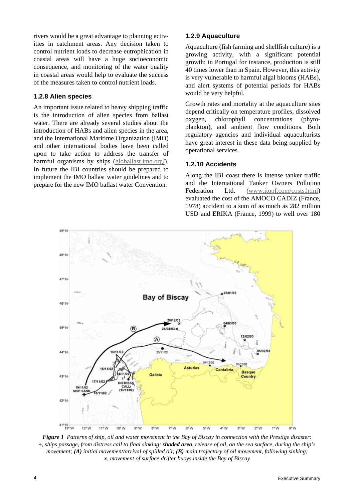rivers would be a great advantage to planning activities in catchment areas. Any decision taken to control nutrient loads to decrease eutrophication in coastal areas will have a huge socioeconomic consequence, and monitoring of the water quality in coastal areas would help to evaluate the success of the measures taken to control nutrient loads.

#### **1.2.8 Alien species**

An important issue related to heavy shipping traffic is the introduction of alien species from ballast water. There are already several studies about the introduction of HABs and alien species in the area, and the International Maritime Organization (IMO) and other international bodies have been called upon to take action to address the transfer of harmful organisms by ships (globallast.imo.org/). In future the IBI countries should be prepared to implement the IMO ballast water guidelines and to prepare for the new IMO ballast water Convention.

### **1.2.9 Aquaculture**

Aquaculture (fish farming and shellfish culture) is a growing activity, with a significant potential growth: in Portugal for instance, production is still 40 times lower than in Spain. However, this activity is very vulnerable to harmful algal blooms (HABs), and alert systems of potential periods for HABs would be very helpful.

Growth rates and mortality at the aquaculture sites depend critically on temperature profiles, dissolved oxygen, chlorophyll concentrations (phytoplankton), and ambient flow conditions. Both regulatory agencies and individual aquaculturists have great interest in these data being supplied by operational services.

#### **1.2.10 Accidents**

Along the IBI coast there is intense tanker traffic and the International Tanker Owners Pollution Federation Ltd. (www.itopf.com/costs.html) evaluated the cost of the AMOCO CADIZ (France, 1978) accident to a sum of as much as 282 million USD and ERIKA (France, 1999) to well over 180



*Figure 1 Patterns of ship, oil and water movement in the Bay of Biscay in connection with the Prestige disaster: +, ships passage, from distress call to final sinking; shaded area, release of oil, on the sea surface, during the ship's movement; (A) initial movement/arrival of spilled oil; (B) main trajectory of oil movement, following sinking; x, movement of surface drifter buoys inside the Bay of Biscay*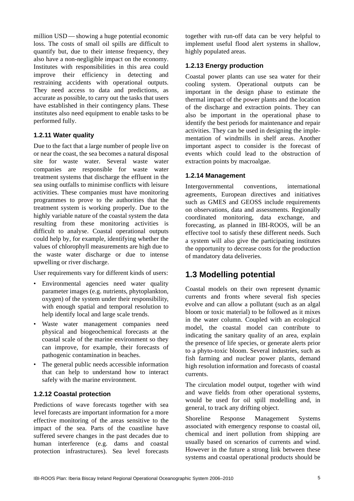million USD — showing a huge potential economic loss. The costs of small oil spills are difficult to quantify but, due to their intense frequency, they also have a non-negligible impact on the economy. Institutes with responsibilities in this area could improve their efficiency in detecting and restraining accidents with operational outputs. They need access to data and predictions, as accurate as possible, to carry out the tasks that users have established in their contingency plans. These institutes also need equipment to enable tasks to be performed fully.

### **1.2.11 Water quality**

Due to the fact that a large number of people live on or near the coast, the sea becomes a natural disposal site for waste water. Several waste water companies are responsible for waste water treatment systems that discharge the effluent in the sea using outfalls to minimise conflicts with leisure activities. These companies must have monitoring programmes to prove to the authorities that the treatment system is working properly. Due to the highly variable nature of the coastal system the data resulting from these monitoring activities is difficult to analyse. Coastal operational outputs could help by, for example, identifying whether the values of chlorophyll measurements are high due to the waste water discharge or due to intense upwelling or river discharge.

User requirements vary for different kinds of users:

- Environmental agencies need water quality parameter images (e.g. nutrients, phytoplankton, oxygen) of the system under their responsibility, with enough spatial and temporal resolution to help identify local and large scale trends.
- Waste water management companies need physical and biogeochemical forecasts at the coastal scale of the marine environment so they can improve, for example, their forecasts of pathogenic contamination in beaches.
- The general public needs accessible information that can help to understand how to interact safely with the marine environment.

#### **1.2.12 Coastal protection**

Predictions of wave forecasts together with sea level forecasts are important information for a more effective monitoring of the areas sensitive to the impact of the sea. Parts of the coastline have suffered severe changes in the past decades due to human interference (e.g. dams and coastal protection infrastructures). Sea level forecasts

together with run-off data can be very helpful to implement useful flood alert systems in shallow, highly populated areas.

### **1.2.13 Energy production**

Coastal power plants can use sea water for their cooling system. Operational outputs can be important in the design phase to estimate the thermal impact of the power plants and the location of the discharge and extraction points. They can also be important in the operational phase to identify the best periods for maintenance and repair activities. They can be used in designing the implementation of windmills in shelf areas. Another important aspect to consider is the forecast of events which could lead to the obstruction of extraction points by macroalgae.

### **1.2.14 Management**

Intergovernmental conventions, international agreements, European directives and initiatives such as GMES and GEOSS include requirements on observations, data and assessments. Regionally coordinated monitoring, data exchange, and forecasting, as planned in IBI-ROOS, will be an effective tool to satisfy these different needs. Such a system will also give the participating institutes the opportunity to decrease costs for the production of mandatory data deliveries.

# **1.3 Modelling potential**

Coastal models on their own represent dynamic currents and fronts where several fish species evolve and can allow a pollutant (such as an algal bloom or toxic material) to be followed as it mixes in the water column. Coupled with an ecological model, the coastal model can contribute to indicating the sanitary quality of an area, explain the presence of life species, or generate alerts prior to a phyto-toxic bloom. Several industries, such as fish farming and nuclear power plants, demand high resolution information and forecasts of coastal currents.

The circulation model output, together with wind and wave fields from other operational systems, would be used for oil spill modelling and, in general, to track any drifting object.

Shoreline Response Management Systems associated with emergency response to coastal oil, chemical and inert pollution from shipping are usually based on scenarios of currents and wind. However in the future a strong link between these systems and coastal operational products should be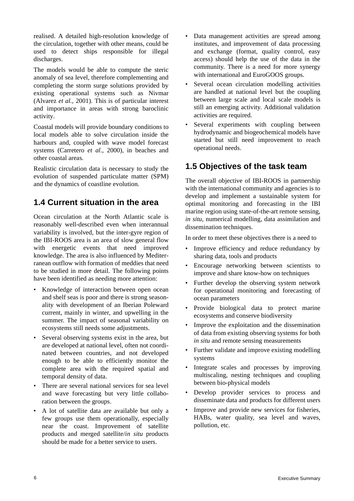realised. A detailed high-resolution knowledge of the circulation, together with other means, could be used to detect ships responsible for illegal discharges.

The models would be able to compute the steric anomaly of sea level, therefore complementing and completing the storm surge solutions provided by existing operational systems such as Nivmar (Alvarez *et al.*, 2001). This is of particular interest and importance in areas with strong baroclinic activity.

Coastal models will provide boundary conditions to local models able to solve circulation inside the harbours and, coupled with wave model forecast systems (Carretero *et al.*, 2000), in beaches and other coastal areas.

Realistic circulation data is necessary to study the evolution of suspended particulate matter (SPM) and the dynamics of coastline evolution.

# **1.4 Current situation in the area**

Ocean circulation at the North Atlantic scale is reasonably well-described even when interannual variability is involved, but the inter-gyre region of the IBI-ROOS area is an area of slow general flow with energetic events that need improved knowledge. The area is also influenced by Mediterranean outflow with formation of meddies that need to be studied in more detail. The following points have been identified as needing more attention:

- Knowledge of interaction between open ocean and shelf seas is poor and there is strong seasonality with development of an Iberian Poleward current, mainly in winter, and upwelling in the summer. The impact of seasonal variability on ecosystems still needs some adjustments.
- Several observing systems exist in the area, but are developed at national level, often not coordinated between countries, and not developed enough to be able to efficiently monitor the complete area with the required spatial and temporal density of data.
- There are several national services for sea level and wave forecasting but very little collaboration between the groups.
- A lot of satellite data are available but only a few groups use them operationally, especially near the coast. Improvement of satellite products and merged satellite/*in situ* products should be made for a better service to users.
- Data management activities are spread among institutes, and improvement of data processing and exchange (format, quality control, easy access) should help the use of the data in the community. There is a need for more synergy with international and EuroGOOS groups.
- Several ocean circulation modelling activities are handled at national level but the coupling between large scale and local scale models is still an emerging activity. Additional validation activities are required.
- Several experiments with coupling between hydrodynamic and biogeochemical models have started but still need improvement to reach operational needs.

# **1.5 Objectives of the task team**

The overall objective of IBI-ROOS in partnership with the international community and agencies is to develop and implement a sustainable system for optimal monitoring and forecasting in the IBI marine region using state-of-the-art remote sensing, *in situ*, numerical modelling, data assimilation and dissemination techniques.

In order to meet these objectives there is a need to

- Improve efficiency and reduce redundancy by sharing data, tools and products
- Encourage networking between scientists to improve and share know-how on techniques
- Further develop the observing system network for operational monitoring and forecasting of ocean parameters
- Provide biological data to protect marine ecosystems and conserve biodiversity
- Improve the exploitation and the dissemination of data from existing observing systems for both *in situ* and remote sensing measurements
- Further validate and improve existing modelling systems
- Integrate scales and processes by improving multiscaling, nesting techniques and coupling between bio-physical models
- Develop provider services to process and disseminate data and products for different users
- Improve and provide new services for fisheries, HABs, water quality, sea level and waves, pollution, etc.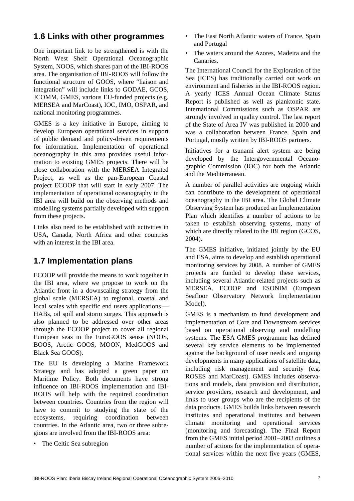### **1.6 Links with other programmes**

One important link to be strengthened is with the North West Shelf Operational Oceanographic System, NOOS, which shares part of the IBI-ROOS area. The organisation of IBI-ROOS will follow the functional structure of GOOS, where "liaison and integration" will include links to GODAE, GCOS, JCOMM, GMES, various EU-funded projects (e.g. MERSEA and MarCoast), IOC, IMO, OSPAR, and national monitoring programmes.

GMES is a key initiative in Europe, aiming to develop European operational services in support of public demand and policy-driven requirements for information. Implementation of operational oceanography in this area provides useful information to existing GMES projects. There will be close collaboration with the MERSEA Integrated Project, as well as the pan-European Coastal project ECOOP that will start in early 2007. The implementation of operational oceanography in the IBI area will build on the observing methods and modelling systems partially developed with support from these projects.

Links also need to be established with activities in USA, Canada, North Africa and other countries with an interest in the IBI area.

# **1.7 Implementation plans**

ECOOP will provide the means to work together in the IBI area, where we propose to work on the Atlantic front in a downscaling strategy from the global scale (MERSEA) to regional, coastal and local scales with specific end users applications — HABs, oil spill and storm surges. This approach is also planned to be addressed over other areas through the ECOOP project to cover all regional European seas in the EuroGOOS sense (NOOS, BOOS, Arctic GOOS, MOON, MedGOOS and Black Sea GOOS).

The EU is developing a Marine Framework Strategy and has adopted a green paper on Maritime Policy. Both documents have strong influence on IBI-ROOS implementation and IBI-ROOS will help with the required coordination between countries. Countries from the region will have to commit to studying the state of the ecosystems, requiring coordination between countries. In the Atlantic area, two or three subregions are involved from the IBI-ROOS area:

• The Celtic Sea subregion

- The East North Atlantic waters of France, Spain and Portugal
- The waters around the Azores, Madeira and the Canaries.

The International Council for the Exploration of the Sea (ICES) has traditionally carried out work on environment and fisheries in the IBI-ROOS region. A yearly ICES Annual Ocean Climate Status Report is published as well as planktonic state. International Commissions such as OSPAR are strongly involved in quality control. The last report of the State of Area IV was published in 2000 and was a collaboration between France, Spain and Portugal, mostly written by IBI-ROOS partners.

Initiatives for a tsunami alert system are being developed by the Intergovernmental Oceanographic Commission (IOC) for both the Atlantic and the Mediterranean.

A number of parallel activities are ongoing which can contribute to the development of operational oceanography in the IBI area. The Global Climate Observing System has produced an Implementation Plan which identifies a number of actions to be taken to establish observing systems, many of which are directly related to the IBI region (GCOS, 2004).

The GMES initiative, initiated jointly by the EU and ESA, aims to develop and establish operational monitoring services by 2008. A number of GMES projects are funded to develop these services, including several Atlantic-related projects such as MERSEA, ECOOP and ESONIM (European Seafloor Observatory Network Implementation Model).

GMES is a mechanism to fund development and implementation of Core and Downstream services based on operational observing and modelling systems. The ESA GMES programme has defined several key service elements to be implemented against the background of user needs and ongoing developments in many applications of satellite data, including risk management and security (e.g. ROSES and MarCoast). GMES includes observations and models, data provision and distribution, service providers, research and development, and links to user groups who are the recipients of the data products. GMES builds links between research institutes and operational institutes and between climate monitoring and operational services (monitoring and forecasting). The Final Report from the GMES initial period 2001–2003 outlines a number of actions for the implementation of operational services within the next five years (GMES,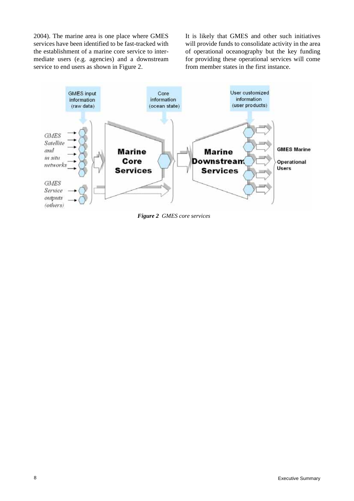2004). The marine area is one place where GMES services have been identified to be fast-tracked with the establishment of a marine core service to intermediate users (e.g. agencies) and a downstream service to end users as shown in Figure 2.

It is likely that GMES and other such initiatives will provide funds to consolidate activity in the area of operational oceanography but the key funding for providing these operational services will come from member states in the first instance.



*Figure 2 GMES core services*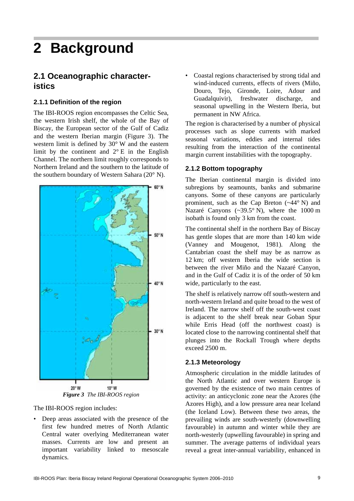# **2 Background**

### **2.1 Oceanographic characteristics**

### **2.1.1 Definition of the region**

The IBI-ROOS region encompasses the Celtic Sea, the western Irish shelf, the whole of the Bay of Biscay, the European sector of the Gulf of Cadiz and the western Iberian margin (Figure 3). The western limit is defined by 30° W and the eastern limit by the continent and 2° E in the English Channel. The northern limit roughly corresponds to Northern Ireland and the southern to the latitude of the southern boundary of Western Sahara (20° N).



The IBI-ROOS region includes:

• Deep areas associated with the presence of the first few hundred metres of North Atlantic Central water overlying Mediterranean water masses. Currents are low and present an important variability linked to mesoscale dynamics.

• Coastal regions characterised by strong tidal and wind-induced currents, effects of rivers (Miño, Douro, Tejo, Gironde, Loire, Adour and Guadalquivir), freshwater discharge, and seasonal upwelling in the Western Iberia, but permanent in NW Africa.

The region is characterised by a number of physical processes such as slope currents with marked seasonal variations, eddies and internal tides resulting from the interaction of the continental margin current instabilities with the topography.

### **2.1.2 Bottom topography**

The Iberian continental margin is divided into subregions by seamounts, banks and submarine canyons. Some of these canyons are particularly prominent, such as the Cap Breton (~44° N) and Nazaré Canyons (~39.5° N), where the 1000 m isobath is found only 3 km from the coast.

The continental shelf in the northern Bay of Biscay has gentle slopes that are more than 140 km wide (Vanney and Mougenot, 1981). Along the Cantabrian coast the shelf may be as narrow as 12 km; off western Iberia the wide section is between the river Miño and the Nazaré Canyon, and in the Gulf of Cadiz it is of the order of 50 km wide, particularly to the east.

The shelf is relatively narrow off south-western and north-western Ireland and quite broad to the west of Ireland. The narrow shelf off the south-west coast is adjacent to the shelf break near Goban Spur while Erris Head (off the northwest coast) is located close to the narrowing continental shelf that plunges into the Rockall Trough where depths exceed 2500 m.

### **2.1.3 Meteorology**

Atmospheric circulation in the middle latitudes of the North Atlantic and over western Europe is governed by the existence of two main centres of activity: an anticyclonic zone near the Azores (the Azores High), and a low pressure area near Iceland (the Iceland Low). Between these two areas, the prevailing winds are south-westerly (downwelling favourable) in autumn and winter while they are north-westerly (upwelling favourable) in spring and summer. The average patterns of individual years reveal a great inter-annual variability, enhanced in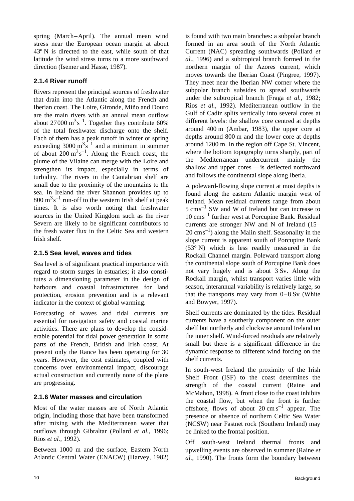spring (March–April). The annual mean wind stress near the European ocean margin at about 43º N is directed to the east, while south of that latitude the wind stress turns to a more southward direction (Isemer and Hasse, 1987).

### **2.1.4 River runoff**

Rivers represent the principal sources of freshwater that drain into the Atlantic along the French and Iberian coast. The Loire, Gironde, Miño and Douro are the main rivers with an annual mean outflow about  $27000 \text{ m}^3 \text{s}^{-1}$ . Together they contribute 60% of the total freshwater discharge onto the shelf. Each of them has a peak runoff in winter or spring exceeding 3000  $m^3s^{-1}$  and a minimum in summer of about  $200 \text{ m}^3 \text{s}^{-1}$ . Along the French coast, the plume of the Vilaine can merge with the Loire and strengthen its impact, especially in terms of turbidity. The rivers in the Cantabrian shelf are small due to the proximity of the mountains to the sea. In Ireland the river Shannon provides up to  $800 \text{ m}^3 \text{s}^{-1}$  run-off to the western Irish shelf at peak times. It is also worth noting that freshwater sources in the United Kingdom such as the river Severn are likely to be significant contributors to the fresh water flux in the Celtic Sea and western Irish shelf.

### **2.1.5 Sea level, waves and tides**

Sea level is of significant practical importance with regard to storm surges in estuaries; it also constitutes a dimensioning parameter in the design of harbours and coastal infrastructures for land protection, erosion prevention and is a relevant indicator in the context of global warming.

Forecasting of waves and tidal currents are essential for navigation safety and coastal marine activities. There are plans to develop the considerable potential for tidal power generation in some parts of the French, British and Irish coast. At present only the Rance has been operating for 30 years. However, the cost estimates, coupled with concerns over environmental impact, discourage actual construction and currently none of the plans are progressing.

### **2.1.6 Water masses and circulation**

Most of the water masses are of North Atlantic origin, including those that have been transformed after mixing with the Mediterranean water that outflows through Gibraltar (Pollard *et al.*, 1996; Rios *et al.*, 1992).

Between 1000 m and the surface, Eastern North Atlantic Central Water (ENACW) (Harvey, 1982) is found with two main branches: a subpolar branch formed in an area south of the North Atlantic Current (NAC) spreading southwards (Pollard *et al.*, 1996) and a subtropical branch formed in the northern margin of the Azores current, which moves towards the Iberian Coast (Pingree, 1997). They meet near the Iberian NW corner where the subpolar branch subsides to spread southwards under the subtropical branch (Fraga *et al.*, 1982; Rios *et al.*, 1992). Mediterranean outflow in the Gulf of Cadiz splits vertically into several cores at different levels: the shallow core centred at depths around 400 m (Ambar, 1983), the upper core at depths around 800 m and the lower core at depths around 1200 m. In the region off Cape St. Vincent, where the bottom topography turns sharply, part of the Mediterranean undercurrent — mainly the shallow and upper cores — is deflected northward and follows the continental slope along Iberia.

A poleward-flowing slope current at most depths is found along the eastern Atlantic margin west of Ireland. Mean residual currents range from about  $5 \text{ cm s}^{-1}$  SW and W of Ireland but can increase to  $10 \text{ cm s}^{-1}$  further west at Porcupine Bank. Residual currents are stronger NW and N of Ireland (15–  $20 \text{ cm s}^{-1}$ ) along the Malin shelf. Seasonality in the slope current is apparent south of Porcupine Bank (53° N) which is less readily measured in the Rockall Channel margin. Poleward transport along the continental slope south of Porcupine Bank does not vary hugely and is about 3 Sv. Along the Rockall margin, whilst transport varies little with season, interannual variability is relatively large, so that the transports may vary from 0–8 Sv (White and Bowyer, 1997).

Shelf currents are dominated by the tides. Residual currents have a southerly component on the outer shelf but northerly and clockwise around Ireland on the inner shelf. Wind-forced residuals are relatively small but there is a significant difference in the dynamic response to different wind forcing on the shelf currents.

In south-west Ireland the proximity of the Irish Shelf Front (ISF) to the coast determines the strength of the coastal current (Raine and McMahon, 1998). A front close to the coast inhibits the coastal flow, but when the front is further offshore, flows of about  $20 \text{ cm s}^{-1}$  appear. The presence or absence of northern Celtic Sea Water (NCSW) near Fastnet rock (Southern Ireland) may be linked to the frontal position.

Off south-west Ireland thermal fronts and upwelling events are observed in summer (Raine *et al.,* 1990). The fronts form the boundary between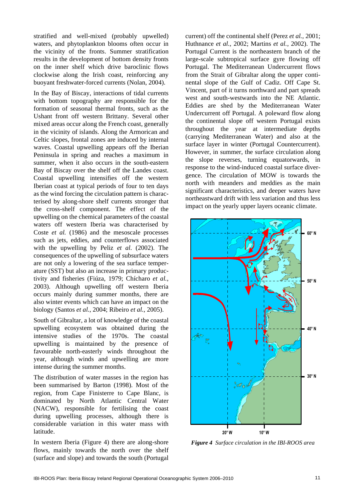stratified and well-mixed (probably upwelled) waters, and phytoplankton blooms often occur in the vicinity of the fronts. Summer stratification results in the development of bottom density fronts on the inner shelf which drive baroclinic flows clockwise along the Irish coast, reinforcing any buoyant freshwater-forced currents (Nolan, 2004).

In the Bay of Biscay, interactions of tidal currents with bottom topography are responsible for the formation of seasonal thermal fronts, such as the Ushant front off western Brittany. Several other mixed areas occur along the French coast, generally in the vicinity of islands. Along the Armorican and Celtic slopes, frontal zones are induced by internal waves. Coastal upwelling appears off the Iberian Peninsula in spring and reaches a maximum in summer, when it also occurs in the south-eastern Bay of Biscay over the shelf off the Landes coast. Coastal upwelling intensifies off the western Iberian coast at typical periods of four to ten days as the wind forcing the circulation pattern is characterised by along-shore shelf currents stronger that the cross-shelf component. The effect of the upwelling on the chemical parameters of the coastal waters off western Iberia was characterised by Coste *et al.* (1986) and the mesoscale processes such as jets, eddies, and counterflows associated with the upwelling by Peliz *et al.* (2002). The consequences of the upwelling of subsurface waters are not only a lowering of the sea surface temperature (SST) but also an increase in primary productivity and fisheries (Fiúza, 1979; Chícharo *et al.*, 2003). Although upwelling off western Iberia occurs mainly during summer months, there are also winter events which can have an impact on the biology (Santos *et al.*, 2004; Ribeiro *et al.*, 2005).

South of Gibraltar, a lot of knowledge of the coastal upwelling ecosystem was obtained during the intensive studies of the 1970s. The coastal upwelling is maintained by the presence of favourable north-easterly winds throughout the year, although winds and upwelling are more intense during the summer months.

The distribution of water masses in the region has been summarised by Barton (1998). Most of the region, from Cape Finisterre to Cape Blanc, is dominated by North Atlantic Central Water (NACW), responsible for fertilising the coast during upwelling processes, although there is considerable variation in this water mass with latitude.

In western Iberia (Figure 4) there are along-shore flows, mainly towards the north over the shelf (surface and slope) and towards the south (Portugal current) off the continental shelf (Perez *et al.*, 2001; Huthnance *et al.*, 2002; Martins *et al.*, 2002). The Portugal Current is the northeastern branch of the large-scale subtropical surface gyre flowing off Portugal. The Mediterranean Undercurrent flows from the Strait of Gibraltar along the upper continental slope of the Gulf of Cadiz. Off Cape St. Vincent, part of it turns northward and part spreads west and south-westwards into the NE Atlantic. Eddies are shed by the Mediterranean Water Undercurrent off Portugal. A poleward flow along the continental slope off western Portugal exists throughout the year at intermediate depths (carrying Mediterranean Water) and also at the surface layer in winter (Portugal Countercurrent). However, in summer, the surface circulation along the slope reverses, turning equatorwards, in response to the wind-induced coastal surface divergence. The circulation of MOW is towards the north with meanders and meddies as the main significant characteristics, and deeper waters have northeastward drift with less variation and thus less impact on the yearly upper layers oceanic climate.



*Figure 4 Surface circulation in the IBI-ROOS area*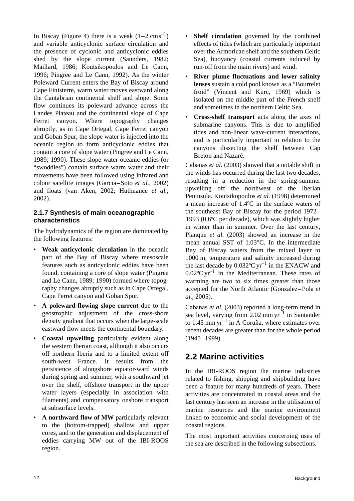In Biscay (Figure 4) there is a weak  $(1-2 \text{ cm s}^{-1})$ and variable anticyclonic surface circulation and the presence of cyclonic and anticyclonic eddies shed by the slope current (Saunders, 1982; Maillard, 1986; Koutsikopoulos and Le Cann, 1996; Pingree and Le Cann, 1992). As the winter Poleward Current enters the Bay of Biscay around Cape Finisterre, warm water moves eastward along the Cantabrian continental shelf and slope. Some flow continues its poleward advance across the Landes Plateau and the continental slope of Cape Ferret canyon. Where topography changes abruptly, as in Cape Ortegal, Cape Ferret canyon and Goban Spur, the slope water is injected into the oceanic region to form anticyclonic eddies that contain a core of slope water (Pingree and Le Cann, 1989; 1990). These slope water oceanic eddies (or "swoddies") contain surface warm water and their movements have been followed using infrared and colour satellite images (Garcia–Soto *et al.*, 2002) and floats (van Aken, 2002; Huthnance *et al.*, 2002).

### **2.1.7 Synthesis of main oceanographic characteristics**

The hydrodynamics of the region are dominated by the following features:

- **Weak anticyclonic circulation** in the oceanic part of the Bay of Biscay where mesoscale features such as anticyclonic eddies have been found, containing a core of slope water (Pingree and Le Cann, 1989; 1990) formed where topography changes abruptly such as in Cape Ortegal, Cape Ferret canyon and Goban Spur.
- **A poleward-flowing slope current** due to the geostrophic adjustment of the cross-shore density gradient that occurs when the large-scale eastward flow meets the continental boundary.
- **Coastal upwelling** particularly evident along the western Iberian coast, although it also occurs off northern Iberia and to a limited extent off south-west France. It results from the persistence of alongshore equator-ward winds during spring and summer, with a southward jet over the shelf, offshore transport in the upper water layers (especially in association with filaments) and compensatory onshore transport at subsurface levels.
- **A northward flow of MW** particularly relevant to the (bottom-trapped) shallow and upper cores, and to the generation and displacement of eddies carrying MW out of the IBI-ROOS region.
- **Shelf circulation** governed by the combined effects of tides (which are particularly important over the Armorican shelf and the southern Celtic Sea), buoyancy (coastal currents induced by run-off from the main rivers) and wind.
- **River plume fluctuations and lower salinity lenses** sustain a cold pool known as a "Bourrelet froid" (Vincent and Kurc, 1969) which is isolated on the middle part of the French shelf and sometimes in the northern Celtic Sea.
- **Cross-shelf transport** acts along the axes of submarine canyons. This is due to amplified tides and non-linear wave-current interactions, and is particularly important in relation to the canyons dissecting the shelf between Cap Breton and Nazaré.

Cabanas *et al.* (2003) showed that a notable shift in the winds has occurred during the last two decades, resulting in a reduction in the spring-summer upwelling off the northwest of the Iberian Peninsula. Koutsikopoulos *et al.* (1998) determined a mean increase of 1.4ºC in the surface waters of the southeast Bay of Biscay for the period 1972– 1993 (0.6ºC per decade), which was slightly higher in winter than in summer. Over the last century, Planque *et al.* (2003) showed an increase in the mean annual SST of 1.03°C. In the intermediate Bay of Biscay waters from the mixed layer to 1000 m, temperature and salinity increased during the last decade by  $0.032^{\circ}$ C yr<sup>-1</sup> in the ENACW and  $0.02^{\circ}$ C yr<sup>-1</sup> in the Mediterranean. These rates of warming are two to six times greater than those accepted for the North Atlantic (Gonzalez–Pola *et al.*, 2005).

Cabanas *et al.* (2003) reported a long-term trend in sea level, varying from  $2.02$  mm yr<sup>-1</sup> in Santander to 1.45 mm  $\rm{vr}^{-1}$  in A Coruña, where estimates over recent decades are greater than for the whole period (1945–1999).

# **2.2 Marine activities**

In the IBI-ROOS region the marine industries related to fishing, shipping and shipbuilding have been a feature for many hundreds of years. These activities are concentrated in coastal areas and the last century has seen an increase in the utilisation of marine resources and the marine environment linked to economic and social development of the coastal regions.

The most important activities concerning uses of the sea are described in the following subsections.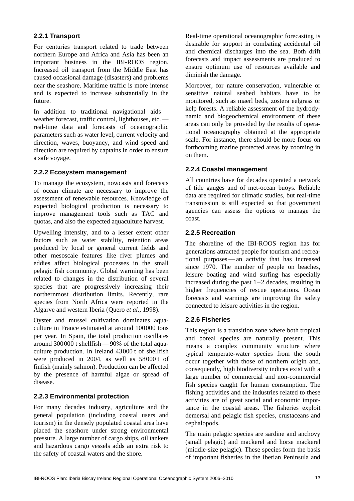### **2.2.1 Transport**

For centuries transport related to trade between northern Europe and Africa and Asia has been an important business in the IBI-ROOS region. Increased oil transport from the Middle East has caused occasional damage (disasters) and problems near the seashore. Maritime traffic is more intense and is expected to increase substantially in the future.

In addition to traditional navigational aids weather forecast, traffic control, lighthouses, etc. real-time data and forecasts of oceanographic parameters such as water level, current velocity and direction, waves, buoyancy, and wind speed and direction are required by captains in order to ensure a safe voyage.

### **2.2.2 Ecosystem management**

To manage the ecosystem, nowcasts and forecasts of ocean climate are necessary to improve the assessment of renewable resources. Knowledge of expected biological production is necessary to improve management tools such as TAC and quotas, and also the expected aquaculture harvest.

Upwelling intensity, and to a lesser extent other factors such as water stability, retention areas produced by local or general current fields and other mesoscale features like river plumes and eddies affect biological processes in the small pelagic fish community. Global warming has been related to changes in the distribution of several species that are progressively increasing their northernmost distribution limits. Recently, rare species from North Africa were reported in the Algarve and western Iberia (Quero *et al.*, 1998).

Oyster and mussel cultivation dominates aquaculture in France estimated at around 100000 tons per year. In Spain, the total production oscillates around 300000 t shellfish — 90% of the total aquaculture production. In Ireland 43000 t of shellfish were produced in 2004, as well as 58000 t of finfish (mainly salmon). Production can be affected by the presence of harmful algae or spread of disease.

### **2.2.3 Environmental protection**

For many decades industry, agriculture and the general population (including coastal users and tourism) in the densely populated coastal area have placed the seashore under strong environmental pressure. A large number of cargo ships, oil tankers and hazardous cargo vessels adds an extra risk to the safety of coastal waters and the shore.

Real-time operational oceanographic forecasting is desirable for support in combating accidental oil and chemical discharges into the sea. Both drift forecasts and impact assessments are produced to ensure optimum use of resources available and diminish the damage.

Moreover, for nature conservation, vulnerable or sensitive natural seabed habitats have to be monitored, such as maerl beds, zostera eelgrass or kelp forests. A reliable assessment of the hydrodynamic and biogeochemical environment of these areas can only be provided by the results of operational oceanography obtained at the appropriate scale. For instance, there should be more focus on forthcoming marine protected areas by zooming in on them.

### **2.2.4 Coastal management**

All countries have for decades operated a network of tide gauges and of met-ocean buoys. Reliable data are required for climatic studies, but real-time transmission is still expected so that government agencies can assess the options to manage the coast.

### **2.2.5 Recreation**

The shoreline of the IBI-ROOS region has for generations attracted people for tourism and recreational purposes — an activity that has increased since 1970. The number of people on beaches, leisure boating and wind surfing has especially increased during the past 1–2 decades, resulting in higher frequencies of rescue operations. Ocean forecasts and warnings are improving the safety connected to leisure activities in the region.

### **2.2.6 Fisheries**

This region is a transition zone where both tropical and boreal species are naturally present. This means a complex community structure where typical temperate-water species from the south occur together with those of northern origin and, consequently, high biodiversity indices exist with a large number of commercial and non-commercial fish species caught for human consumption. The fishing activities and the industries related to these activities are of great social and economic importance in the coastal areas. The fisheries exploit demersal and pelagic fish species, crustaceans and cephalopods.

The main pelagic species are sardine and anchovy (small pelagic) and mackerel and horse mackerel (middle-size pelagic). These species form the basis of important fisheries in the Iberian Peninsula and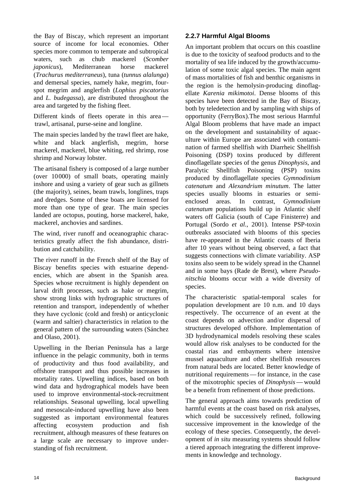the Bay of Biscay, which represent an important source of income for local economies. Other species more common to temperate and subtropical waters, such as chub mackerel (*Scomber japonicus*), Mediterranean horse mackerel (*Trachurus mediterraneus*), tuna (*tunnus alalunga*) and demersal species, namely hake, megrim, fourspot megrim and anglerfish (*Lophius piscatorius* and *L. budegassa*), are distributed throughout the area and targeted by the fishing fleet.

Different kinds of fleets operate in this area trawl, artisanal, purse-seine and longline.

The main species landed by the trawl fleet are hake, white and black anglerfish, megrim, horse mackerel, mackerel, blue whiting, red shrimp, rose shrimp and Norway lobster.

The artisanal fishery is composed of a large number (over 10000) of small boats, operating mainly inshore and using a variety of gear such as gillnets (the majority), seines, beam trawls, longlines, traps and dredges. Some of these boats are licensed for more than one type of gear. The main species landed are octopus, pouting, horse mackerel, hake, mackerel, anchovies and sardines.

The wind, river runoff and oceanographic characteristics greatly affect the fish abundance, distribution and catchability.

The river runoff in the French shelf of the Bay of Biscay benefits species with estuarine dependencies, which are absent in the Spanish area. Species whose recruitment is highly dependent on larval drift processes, such as hake or megrim, show strong links with hydrographic structures of retention and transport, independently of whether they have cyclonic (cold and fresh) or anticyclonic (warm and saltier) characteristics in relation to the general pattern of the surrounding waters (Sánchez and Olaso, 2001).

Upwelling in the Iberian Peninsula has a large influence in the pelagic community, both in terms of productivity and thus food availability, and offshore transport and thus possible increases in mortality rates. Upwelling indices, based on both wind data and hydrographical models have been used to improve environmental-stock-recruitment relationships. Seasonal upwelling, local upwelling and mesoscale-induced upwelling have also been suggested as important environmental features affecting ecosystem production and fish recruitment, although measures of these features on a large scale are necessary to improve understanding of fish recruitment.

### **2.2.7 Harmful Algal Blooms**

An important problem that occurs on this coastline is due to the toxicity of seafood products and to the mortality of sea life induced by the growth/accumulation of some toxic algal species. The main agent of mass mortalities of fish and benthic organisms in the region is the hemolysin-producing dinoflagellate *Karenia mikimotoi*. Dense blooms of this species have been detected in the Bay of Biscay, both by teledetection and by sampling with ships of opportunity (FerryBox).The most serious Harmful Algal Bloom problems that have made an impact on the development and sustainability of aquaculture within Europe are associated with contamination of farmed shellfish with Diarrheic Shellfish Poisoning (DSP) toxins produced by different dinoflagellate species of the genus *Dinophysis*, and Paralytic Shellfish Poisoning (PSP) toxins produced by dinoflagellate species *Gymnodinium catenatum* and *Alexandrium minutum*. The latter species usually blooms in estuaries or semienclosed areas. In contrast, *Gymnodinium catenatum* populations build up in Atlantic shelf waters off Galicia (south of Cape Finisterre) and Portugal (Sordo *et al.*, 2001). Intense PSP-toxin outbreaks associated with blooms of this species have re-appeared in the Atlantic coasts of Iberia after 10 years without being observed, a fact that suggests connections with climate variability. ASP toxins also seem to be widely spread in the Channel and in some bays (Rade de Brest), where *Pseudonitschia* blooms occur with a wide diversity of species.

The characteristic spatial-temporal scales for population development are 10 n.m. and 10 days respectively. The occurrence of an event at the coast depends on advection and/or dispersal of structures developed offshore. Implementation of 3D hydrodynamical models resolving these scales would allow risk analyses to be conducted for the coastal rias and embayments where intensive mussel aquaculture and other shellfish resources from natural beds are located. Better knowledge of nutritional requirements — for instance, in the case of the mixotrophic species of *Dinophysis*— would be a benefit from refinement of those predictions.

The general approach aims towards prediction of harmful events at the coast based on risk analyses, which could be successively refined, following successive improvement in the knowledge of the ecology of these species. Consequently, the development of *in situ* measuring systems should follow a tiered approach integrating the different improvements in knowledge and technology.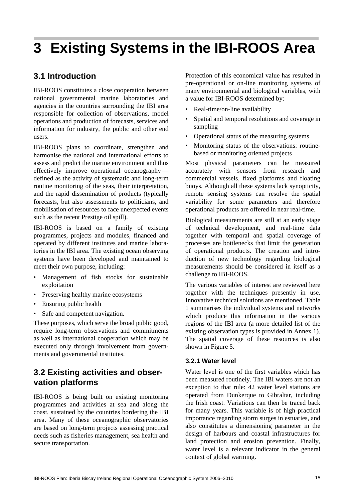# **3 Existing Systems in the IBI-ROOS Area**

# **3.1 Introduction**

IBI-ROOS constitutes a close cooperation between national governmental marine laboratories and agencies in the countries surrounding the IBI area responsible for collection of observations, model operations and production of forecasts, services and information for industry, the public and other end users.

IBI-ROOS plans to coordinate, strengthen and harmonise the national and international efforts to assess and predict the marine environment and thus effectively improve operational oceanography defined as the activity of systematic and long-term routine monitoring of the seas, their interpretation, and the rapid dissemination of products (typically forecasts, but also assessments to politicians, and mobilisation of resources to face unexpected events such as the recent Prestige oil spill).

IBI-ROOS is based on a family of existing programmes, projects and modules, financed and operated by different institutes and marine laboratories in the IBI area. The existing ocean observing systems have been developed and maintained to meet their own purpose, including:

- Management of fish stocks for sustainable exploitation
- Preserving healthy marine ecosystems
- Ensuring public health
- Safe and competent navigation.

These purposes, which serve the broad public good, require long-term observations and commitments as well as international cooperation which may be executed only through involvement from governments and governmental institutes.

# **3.2 Existing activities and observation platforms**

IBI-ROOS is being built on existing monitoring programmes and activities at sea and along the coast, sustained by the countries bordering the IBI area. Many of these oceanographic observatories are based on long-term projects assessing practical needs such as fisheries management, sea health and secure transportation.

Protection of this economical value has resulted in pre-operational or on-line monitoring systems of many environmental and biological variables, with a value for IBI-ROOS determined by:

- Real-time/on-line availability
- Spatial and temporal resolutions and coverage in sampling
- Operational status of the measuring systems
- Monitoring status of the observations: routinebased or monitoring oriented projects

Most physical parameters can be measured accurately with sensors from research and commercial vessels, fixed platforms and floating buoys. Although all these systems lack synopticity, remote sensing systems can resolve the spatial variability for some parameters and therefore operational products are offered in near real-time.

Biological measurements are still at an early stage of technical development, and real-time data together with temporal and spatial coverage of processes are bottlenecks that limit the generation of operational products. The creation and introduction of new technology regarding biological measurements should be considered in itself as a challenge to IBI-ROOS.

The various variables of interest are reviewed here together with the techniques presently in use. Innovative technical solutions are mentioned. Table 1 summarises the individual systems and networks which produce this information in the various regions of the IBI area (a more detailed list of the existing observation types is provided in Annex 1). The spatial coverage of these resources is also shown in Figure 5.

### **3.2.1 Water level**

Water level is one of the first variables which has been measured routinely. The IBI waters are not an exception to that rule: 42 water level stations are operated from Dunkerque to Gibraltar, including the Irish coast. Variations can then be traced back for many years. This variable is of high practical importance regarding storm surges in estuaries, and also constitutes a dimensioning parameter in the design of harbours and coastal infrastructures for land protection and erosion prevention. Finally, water level is a relevant indicator in the general context of global warming.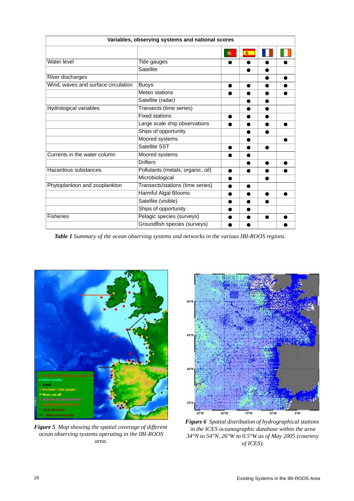|                                     | Variables, observing systems and national scores |   |   |  |
|-------------------------------------|--------------------------------------------------|---|---|--|
|                                     |                                                  | O | 楽 |  |
| Water level                         | Tide gauges                                      |   |   |  |
|                                     | <b>Satellite</b>                                 |   |   |  |
| River discharges                    |                                                  |   |   |  |
| Wind, waves and surface circulation | <b>Buoys</b>                                     | ● |   |  |
|                                     | Meteo stations                                   |   |   |  |
|                                     | Satellite (radar)                                |   |   |  |
| Hydrological variables              | Transects (time series)                          |   |   |  |
|                                     | <b>Fixed stations</b>                            |   |   |  |
|                                     | Large scale ship observations                    |   |   |  |
|                                     | Ships of opportunity                             |   |   |  |
|                                     | Moored systems                                   |   |   |  |
|                                     | Satellite SST                                    |   |   |  |
| Currents in the water column        | Moored systems                                   |   |   |  |
|                                     | <b>Drifters</b>                                  |   |   |  |
| Hazardous substances                | Pollutants (metals, organic, oil)                | e |   |  |
|                                     | Microbiological                                  |   |   |  |
| Phytoplankton and zooplankton       | Transects/stations (time series)                 |   |   |  |
|                                     | <b>Harmful Algal Blooms</b>                      |   |   |  |
|                                     | Satellite (visible)                              |   |   |  |
|                                     | Ships of opportunity                             |   |   |  |
| <b>Fisheries</b>                    | Pelagic species (surveys)                        |   |   |  |
|                                     | Groundfish species (surveys)                     |   |   |  |

*Table 1 Summary of the ocean observing systems and networks in the various IBI-ROOS regions.*



*Figure 5 Map showing the spatial coverage of different ocean observing systems operating in the IBI-ROOS area.*



*Figure 6 Spatial distribution of hydrographical stations in the ICES oceanographic database within the area 34°N to 54°N, 26°W to 0.5°W as of May 2005 (courtesy of ICES).*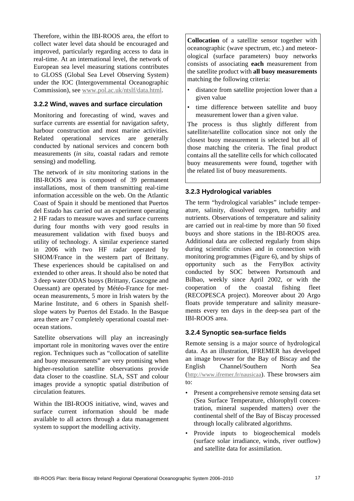Therefore, within the IBI-ROOS area, the effort to collect water level data should be encouraged and improved, particularly regarding access to data in real-time. At an international level, the network of European sea level measuring stations contributes to GLOSS (Global Sea Level Observing System) under the IOC (Intergovernmental Oceanographic Commission), see www.pol.ac.uk/ntslf/data.html.

### **3.2.2 Wind, waves and surface circulation**

Monitoring and forecasting of wind, waves and surface currents are essential for navigation safety, harbour construction and most marine activities. Related operational services are generally conducted by national services and concern both measurements (*in situ*, coastal radars and remote sensing) and modelling.

The network of *in situ* monitoring stations in the IBI-ROOS area is composed of 39 permanent installations, most of them transmitting real-time information accessible on the web. On the Atlantic Coast of Spain it should be mentioned that Puertos del Estado has carried out an experiment operating 2 HF radars to measure waves and surface currents during four months with very good results in measurement validation with fixed buoys and utility of technology. A similar experience started in 2006 with two HF radar operated by SHOM/France in the western part of Brittany. These experiences should be capitalised on and extended to other areas. It should also be noted that 3 deep water ODAS buoys (Brittany, Gascogne and Ouessant) are operated by Météo-France for metocean measurements, 5 more in Irish waters by the Marine Institute, and 6 others in Spanish shelfslope waters by Puertos del Estado. In the Basque area there are 7 completely operational coastal metocean stations.

Satellite observations will play an increasingly important role in monitoring waves over the entire region. Techniques such as "collocation of satellite and buoy measurements" are very promising when higher-resolution satellite observations provide data closer to the coastline. SLA, SST and colour images provide a synoptic spatial distribution of circulation features.

Within the IBI-ROOS initiative, wind, waves and surface current information should be made available to all actors through a data management system to support the modelling activity.

**Collocation** of a satellite sensor together with oceanographic (wave spectrum, etc.) and meteorological (surface parameters) buoy networks consists of associating **each** measurement from the satellite product with **all buoy measurements** matching the following criteria:

- distance from satellite projection lower than a given value
- time difference between satellite and buoy measurement lower than a given value.

The process is thus slightly different from satellite/satellite collocation since not only the closest buoy measurement is selected but all of those matching the criteria. The final product contains all the satellite cells for which collocated buoy measurements were found, together with the related list of buoy measurements.

### **3.2.3 Hydrological variables**

The term "hydrological variables" include temperature, salinity, dissolved oxygen, turbidity and nutrients. Observations of temperature and salinity are carried out in real-time by more than 50 fixed buoys and shore stations in the IBI-ROOS area. Additional data are collected regularly from ships during scientific cruises and in connection with monitoring programmes (Figure 6), and by ships of opportunity such as the FerryBox activity conducted by SOC between Portsmouth and Bilbao, weekly since April 2002, or with the cooperation of the coastal fishing fleet (RECOPESCA project). Moreover about 20 Argo floats provide temperature and salinity measurements every ten days in the deep-sea part of the IBI-ROOS area.

### **3.2.4 Synoptic sea-surface fields**

Remote sensing is a major source of hydrological data. As an illustration, IFREMER has developed an image browser for the Bay of Biscay and the English Channel/Southern North Sea (http://www.ifremer.fr/nausicaa). These browsers aim to:

- Present a comprehensive remote sensing data set (Sea Surface Temperature, chlorophyll concentration, mineral suspended matters) over the continental shelf of the Bay of Biscay processed through locally calibrated algorithms.
- Provide inputs to biogeochemical models (surface solar irradiance, winds, river outflow) and satellite data for assimilation.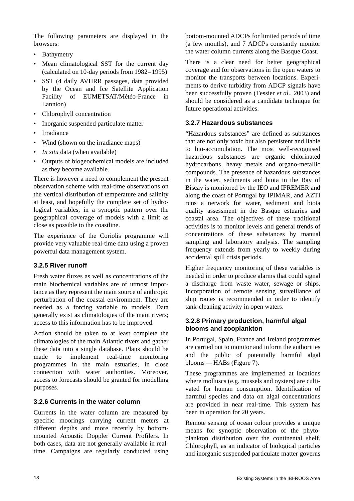The following parameters are displayed in the browsers:

- Bathymetry
- Mean climatological SST for the current day (calculated on 10-day periods from 1982–1995)
- SST (4 daily AVHRR passages, data provided by the Ocean and Ice Satellite Application Facility of EUMETSAT/Météo-France in Lannion)
- Chlorophyll concentration
- Inorganic suspended particulate matter
- Irradiance
- Wind (shown on the irradiance maps)
- *In situ* data (when available)
- Outputs of biogeochemical models are included as they become available.

There is however a need to complement the present observation scheme with real-time observations on the vertical distribution of temperature and salinity at least, and hopefully the complete set of hydrological variables, in a synoptic pattern over the geographical coverage of models with a limit as close as possible to the coastline.

The experience of the Coriolis programme will provide very valuable real-time data using a proven powerful data management system.

### **3.2.5 River runoff**

Fresh water fluxes as well as concentrations of the main biochemical variables are of utmost importance as they represent the main source of anthropic perturbation of the coastal environment. They are needed as a forcing variable to models. Data generally exist as climatologies of the main rivers; access to this information has to be improved.

Action should be taken to at least complete the climatologies of the main Atlantic rivers and gather these data into a single database. Plans should be made to implement real-time monitoring programmes in the main estuaries, in close connection with water authorities. Moreover, access to forecasts should be granted for modelling purposes.

### **3.2.6 Currents in the water column**

Currents in the water column are measured by specific moorings carrying current meters at different depths and more recently by bottommounted Acoustic Doppler Current Profilers. In both cases, data are not generally available in realtime. Campaigns are regularly conducted using bottom-mounted ADCPs for limited periods of time (a few months), and 7 ADCPs constantly monitor the water column currents along the Basque Coast.

There is a clear need for better geographical coverage and for observations in the open waters to monitor the transports between locations. Experiments to derive turbidity from ADCP signals have been successfully proven (Tessier *et al*., 2003) and should be considered as a candidate technique for future operational activities.

### **3.2.7 Hazardous substances**

"Hazardous substances" are defined as substances that are not only toxic but also persistent and liable to bio-accumulation. The most well-recognised hazardous substances are organic chlorinated hydrocarbons, heavy metals and organo-metallic compounds. The presence of hazardous substances in the water, sediments and biota in the Bay of Biscay is monitored by the IEO and IFREMER and along the coast of Portugal by IPIMAR, and AZTI runs a network for water, sediment and biota quality assessment in the Basque estuaries and coastal area. The objectives of these traditional activities is to monitor levels and general trends of concentrations of these substances by manual sampling and laboratory analysis. The sampling frequency extends from yearly to weekly during accidental spill crisis periods.

Higher frequency monitoring of these variables is needed in order to produce alarms that could signal a discharge from waste water, sewage or ships. Incorporation of remote sensing surveillance of ship routes is recommended in order to identify tank-cleaning activity in open waters.

### **3.2.8 Primary production, harmful algal blooms and zooplankton**

In Portugal, Spain, France and Ireland programmes are carried out to monitor and inform the authorities and the public of potentially harmful algal blooms — HABs (Figure 7).

These programmes are implemented at locations where molluscs (e.g. mussels and oysters) are cultivated for human consumption. Identification of harmful species and data on algal concentrations are provided in near real-time. This system has been in operation for 20 years.

Remote sensing of ocean colour provides a unique means for synoptic observation of the phytoplankton distribution over the continental shelf. Chlorophyll, as an indicator of biological particles and inorganic suspended particulate matter governs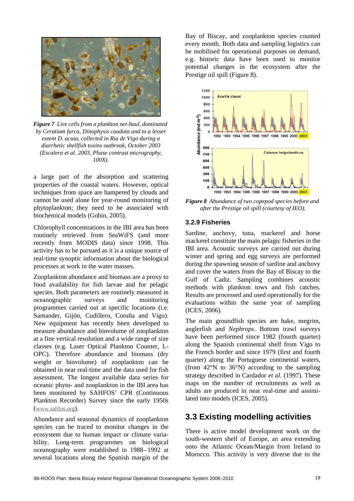

*Figure 7 Live cells from a plankton net-haul, dominated by Ceratium furca, Dinophysis caudata and to a lesser extent D. acuta, collected in Ria de Vigo during a diarrhetic shellfish toxins outbreak, October 2003 (Escalera et al. 2003, Phase contrast micrography, 100X).*

a large part of the absorption and scattering properties of the coastal waters. However, optical techniques from space are hampered by clouds and cannot be used alone for year-round monitoring of phytoplankton; they need to be associated with biochemical models (Gohin, 2005).

Chlorophyll concentrations in the IBI area has been routinely retrieved from SeaWiFS (and more recently from MODIS data) since 1998. This activity has to be pursued as it is a unique source of real-time synoptic information about the biological processes at work in the water masses.

Zooplankton abundance and biomass are a proxy to food availability for fish larvae and for pelagic species. Both parameters are routinely measured in oceanographic surveys and monitoring programmes carried out at specific locations (i.e. Santander, Gijón, Cudillero, Coruña and Vigo). New equipment has recently been developed to measure abundance and biovolume of zooplankton at a fine vertical resolution and a wide range of size classes (e.g. Laser Optical Plankton Counter, L-OPC). Therefore abundance and biomass (dry weight or biovolume) of zooplankton can be obtained in near real-time and the data used for fish assessment. The longest available data series for oceanic phyto- and zooplankton in the IBI area has been monitored by SAHFOS' CPR (Continuous Plankton Recorder) Survey since the early 1950s (www.sahfos.org).

Abundance and seasonal dynamics of zooplankton species can be traced to monitor changes in the ecosystem due to human impact or climate variability. Long-term programmes on biological oceanography were established in 1988–1992 at several locations along the Spanish margin of the

Bay of Biscay, and zooplankton species counted every month. Both data and sampling logistics can be mobilised for operational purposes on demand, e.g. historic data have been used to monitor potential changes in the ecosystem after the Prestige oil spill (Figure 8).



*Figure 8 Abundance of two copepod species before and after the Prestige oil spill (courtesy of IEO).*

#### **3.2.9 Fisheries**

Sardine, anchovy, tuna, mackerel and horse mackerel constitute the main pelagic fisheries in the IBI area. Acoustic surveys are carried out during winter and spring and egg surveys are performed during the spawning season of sardine and anchovy and cover the waters from the Bay of Biscay to the Gulf of Cadiz. Sampling combines acoustic methods with plankton tows and fish catches. Results are processed and used operationally for the evaluations within the same year of sampling (ICES, 2006).

The main groundfish species are hake, megrim, anglerfish and *Nephrops*. Bottom trawl surveys have been performed since 1982 (fourth quarter) along the Spanish continental shelf from Vigo to the French border and since 1979 (first and fourth quarter) along the Portuguese continental waters, (from 42°N to 36°N) according to the sampling strategy described in Cardador *et al*. (1997). These maps on the number of recruitments as well as adults are produced in near real-time and assimilated into models (ICES, 2005).

### **3.3 Existing modelling activities**

There is active model development work on the south-western shelf of Europe, an area extending onto the Atlantic Ocean/Margin from Ireland to Morocco. This activity is very diverse due to the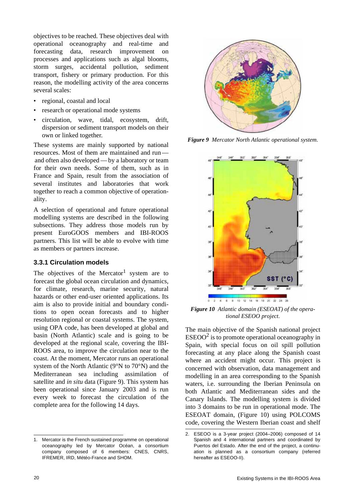objectives to be reached. These objectives deal with operational oceanography and real-time and forecasting data, research improvement on processes and applications such as algal blooms, storm surges, accidental pollution, sediment transport, fishery or primary production. For this reason, the modelling activity of the area concerns several scales:

- regional, coastal and local
- research or operational mode systems
- circulation, wave, tidal, ecosystem, drift, dispersion or sediment transport models on their own or linked together.

These systems are mainly supported by national resources. Most of them are maintained and run and often also developed — by a laboratory or team for their own needs. Some of them, such as in France and Spain, result from the association of several institutes and laboratories that work together to reach a common objective of operationality.

A selection of operational and future operational modelling systems are described in the following subsections. They address those models run by present EuroGOOS members and IBI-ROOS partners. This list will be able to evolve with time as members or partners increase.

#### **3.3.1 Circulation models**

The objectives of the Mercator<sup>1</sup> system are to forecast the global ocean circulation and dynamics, for climate, research, marine security, natural hazards or other end-user oriented applications. Its aim is also to provide initial and boundary conditions to open ocean forecasts and to higher resolution regional or coastal systems. The system, using OPA code, has been developed at global and basin (North Atlantic) scale and is going to be developed at the regional scale, covering the IBI-ROOS area, to improve the circulation near to the coast. At the moment, Mercator runs an operational system of the North Atlantic (9°N to 70°N) and the Mediterranean sea including assimilation of satellite and *in situ* data (Figure 9). This system has been operational since January 2003 and is run every week to forecast the circulation of the complete area for the following 14 days.

1. Mercator is the French sustained programme on operational oceanography led by Mercator Océan, a consortium company composed of 6 members: CNES, CNRS, IFREMER, IRD, Météo-France and SHOM.



*Figure 9 Mercator North Atlantic operational system.*



*Figure 10 Atlantic domain (ESEOAT) of the operational ESEOO project.*

The main objective of the Spanish national project  $ESEOO<sup>2</sup>$  is to promote operational oceanography in Spain, with special focus on oil spill pollution forecasting at any place along the Spanish coast where an accident might occur. This project is concerned with observation, data management and modelling in an area corresponding to the Spanish waters, i.e. surrounding the Iberian Peninsula on both Atlantic and Mediterranean sides and the Canary Islands. The modelling system is divided into 3 domains to be run in operational mode. The ESEOAT domain, (Figure 10) using POLCOMS code, covering the Western Iberian coast and shelf

<sup>2.</sup> ESEOO is a 3-year project (2004–2006) composed of 14 Spanish and 4 international partners and coordinated by Puertos del Estado. After the end of the project, a continuation is planned as a consortium company (referred hereafter as ESEOO-II).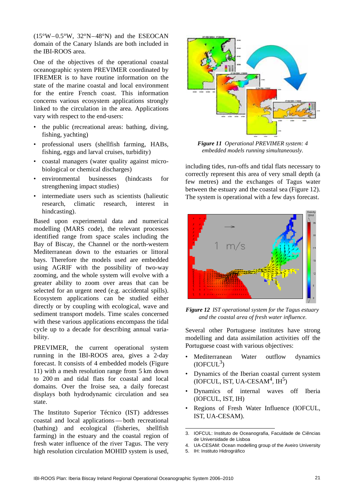(15°W–0.5°W, 32°N–48°N) and the ESEOCAN domain of the Canary Islands are both included in the IBI-ROOS area.

One of the objectives of the operational coastal oceanographic system PREVIMER coordinated by IFREMER is to have routine information on the state of the marine coastal and local environment for the entire French coast. This information concerns various ecosystem applications strongly linked to the circulation in the area. Applications vary with respect to the end-users:

- the public (recreational areas: bathing, diving, fishing, yachting)
- professional users (shellfish farming, HABs, fishing, eggs and larval cruises, turbidity)
- coastal managers (water quality against microbiological or chemical discharges)
- environmental businesses (hindcasts for strengthening impact studies)
- intermediate users such as scientists (halieutic research, climatic research, interest in hindcasting).

Based upon experimental data and numerical modelling (MARS code), the relevant processes identified range from space scales including the Bay of Biscay, the Channel or the north-western Mediterranean down to the estuaries or littoral bays. Therefore the models used are embedded using AGRIF with the possibility of two-way zooming, and the whole system will evolve with a greater ability to zoom over areas that can be selected for an urgent need (e.g. accidental spills). Ecosystem applications can be studied either directly or by coupling with ecological, wave and sediment transport models. Time scales concerned with these various applications encompass the tidal cycle up to a decade for describing annual variability.

PREVIMER, the current operational system running in the IBI-ROOS area, gives a 2-day forecast. It consists of 4 embedded models (Figure 11) with a mesh resolution range from 5 km down to 200 m and tidal flats for coastal and local domains. Over the Iroise sea, a daily forecast displays both hydrodynamic circulation and sea state.

The Instituto Superior Técnico (IST) addresses coastal and local applications — both recreational (bathing) and ecological (fisheries, shellfish farming) in the estuary and the coastal region of fresh water influence of the river Tagus. The very high resolution circulation MOHID system is used,



*Figure 11 Operational PREVIMER system: 4 embedded models running simultaneously.*

including tides, run-offs and tidal flats necessary to correctly represent this area of very small depth (a few metres) and the exchanges of Tagus water between the estuary and the coastal sea (Figure 12). The system is operational with a few days forecast.



*Figure 12 IST operational system for the Tagus estuary and the coastal area of fresh water influence.*

Several other Portuguese institutes have strong modelling and data assimilation activities off the Portuguese coast with various objectives:

- Mediterranean Water outflow dynamics  $(IOFCUL<sup>3</sup>)$
- Dynamics of the Iberian coastal current system  $(IOFCUL, IST, UA-CESAM<sup>4</sup>, IH<sup>5</sup>)$
- Dynamics of internal waves off Iberia (IOFCUL, IST, IH)
- Regions of Fresh Water Influence (IOFCUL, IST, UA-CESAM).

5. IH: Instituto Hidrográfico

<sup>3.</sup> IOFCUL: Instituto de Oceanografia, Faculdade de Ciências de Universidade de Lisboa

<sup>4.</sup> UA-CESAM: Ocean modelling group of the Aveiro University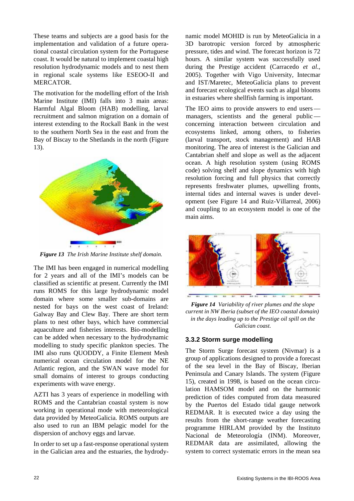These teams and subjects are a good basis for the implementation and validation of a future operational coastal circulation system for the Portuguese coast. It would be natural to implement coastal high resolution hydrodynamic models and to nest them in regional scale systems like ESEOO-II and MERCATOR.

The motivation for the modelling effort of the Irish Marine Institute (IMI) falls into 3 main areas: Harmful Algal Bloom (HAB) modelling, larval recruitment and salmon migration on a domain of interest extending to the Rockall Bank in the west to the southern North Sea in the east and from the Bay of Biscay to the Shetlands in the north (Figure 13).



*Figure 13 The Irish Marine Institute shelf domain.*

The IMI has been engaged in numerical modelling for 2 years and all of the IMI's models can be classified as scientific at present. Currently the IMI runs ROMS for this large hydrodynamic model domain where some smaller sub-domains are nested for bays on the west coast of Ireland: Galway Bay and Clew Bay. There are short term plans to nest other bays, which have commercial aquaculture and fisheries interests. Bio-modelling can be added when necessary to the hydrodynamic modelling to study specific plankton species. The IMI also runs QUODDY, a Finite Element Mesh numerical ocean circulation model for the NE Atlantic region, and the SWAN wave model for small domains of interest to groups conducting experiments with wave energy.

AZTI has 3 years of experience in modelling with ROMS and the Cantabrian coastal system is now working in operational mode with meteorological data provided by MeteoGalicia. ROMS outputs are also used to run an IBM pelagic model for the dispersion of anchovy eggs and larvae.

In order to set up a fast-response operational system in the Galician area and the estuaries, the hydrodynamic model MOHID is run by MeteoGalicia in a 3D barotropic version forced by atmospheric pressure, tides and wind. The forecast horizon is 72 hours. A similar system was successfully used during the Prestige accident (Carracedo *et al*., 2005). Together with Vigo University, Intecmar and IST/Maretec, MeteoGalicia plans to prevent and forecast ecological events such as algal blooms in estuaries where shellfish farming is important.

The IEO aims to provide answers to end users managers, scientists and the general public concerning interaction between circulation and ecosystems linked, among others, to fisheries (larval transport, stock management) and HAB monitoring. The area of interest is the Galician and Cantabrian shelf and slope as well as the adjacent ocean. A high resolution system (using ROMS code) solving shelf and slope dynamics with high resolution forcing and full physics that correctly represents freshwater plumes, upwelling fronts, internal tides and internal waves is under development (see Figure 14 and Ruiz-Villarreal, 2006) and coupling to an ecosystem model is one of the main aims.



*Figure 14 Variability of river plumes and the slope current in NW Iberia (subset of the IEO coastal domain) in the days leading up to the Prestige oil spill on the Galician coast.* 

### **3.3.2 Storm surge modelling**

The Storm Surge forecast system (Nivmar) is a group of applications designed to provide a forecast of the sea level in the Bay of Biscay, Iberian Peninsula and Canary Islands. The system (Figure 15), created in 1998, is based on the ocean circulation HAMSOM model and on the harmonic prediction of tides computed from data measured by the Puertos del Estado tidal gauge network REDMAR. It is executed twice a day using the results from the short-range weather forecasting programme HIRLAM provided by the Instituto Nacional de Meteorología (INM). Moreover, REDMAR data are assimilated, allowing the system to correct systematic errors in the mean sea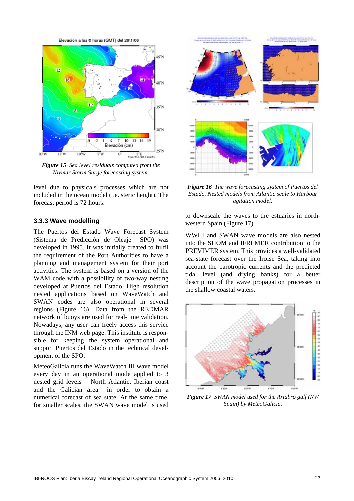Elevación a las 0 horas (GMT) del 26\1\06



*Figure 15 Sea level residuals computed from the Nivmar Storm Surge forecasting system.*

level due to physicals processes which are not included in the ocean model (i.e. steric height). The forecast period is 72 hours.

#### **3.3.3 Wave modelling**

The Puertos del Estado Wave Forecast System (Sistema de Predicción de Oleaje — SPO) was developed in 1995. It was initially created to fulfil the requirement of the Port Authorities to have a planning and management system for their port activities. The system is based on a version of the WAM code with a possibility of two-way nesting developed at Puertos del Estado. High resolution nested applications based on WaveWatch and SWAN codes are also operational in several regions (Figure 16). Data from the REDMAR network of buoys are used for real-time validation. Nowadays, any user can freely access this service through the INM web page. This institute is responsible for keeping the system operational and support Puertos del Estado in the technical development of the SPO.

MeteoGalicia runs the WaveWatch III wave model every day in an operational mode applied to 3 nested grid levels — North Atlantic, Iberian coast and the Galician area — in order to obtain a numerical forecast of sea state. At the same time, for smaller scales, the SWAN wave model is used



*Figure 16 The wave forecasting system of Puertos del Estado. Nested models from Atlantic scale to Harbour agitation model.*

to downscale the waves to the estuaries in northwestern Spain (Figure 17).

WWIII and SWAN wave models are also nested into the SHOM and IFREMER contribution to the PREVIMER system. This provides a well-validated sea-state forecast over the Iroise Sea, taking into account the barotropic currents and the predicted tidal level (and drying banks) for a better description of the wave propagation processes in the shallow coastal waters.



*Figure 17 SWAN model used for the Artabro gulf (NW Spain) by MeteoGalicia.*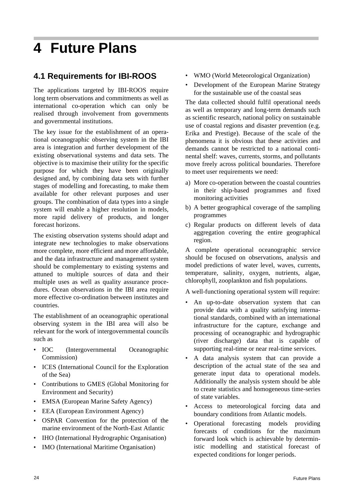# **4 Future Plans**

# **4.1 Requirements for IBI-ROOS**

The applications targeted by IBI-ROOS require long term observations and commitments as well as international co-operation which can only be realised through involvement from governments and governmental institutions.

The key issue for the establishment of an operational oceanographic observing system in the IBI area is integration and further development of the existing observational systems and data sets. The objective is to maximise their utility for the specific purpose for which they have been originally designed and, by combining data sets with further stages of modelling and forecasting, to make them available for other relevant purposes and user groups. The combination of data types into a single system will enable a higher resolution in models, more rapid delivery of products, and longer forecast horizons.

The existing observation systems should adapt and integrate new technologies to make observations more complete, more efficient and more affordable, and the data infrastructure and management system should be complementary to existing systems and attuned to multiple sources of data and their multiple uses as well as quality assurance procedures. Ocean observations in the IBI area require more effective co-ordination between institutes and countries.

The establishment of an oceanographic operational observing system in the IBI area will also be relevant for the work of intergovernmental councils such as

- IOC (Intergovernmental Oceanographic Commission)
- ICES (International Council for the Exploration of the Sea)
- Contributions to GMES (Global Monitoring for Environment and Security)
- EMSA (European Marine Safety Agency)
- EEA (European Environment Agency)
- OSPAR Convention for the protection of the marine environment of the North-East Atlantic
- IHO (International Hydrographic Organisation)
- IMO (International Maritime Organisation)
- WMO (World Meteorological Organization)
- Development of the European Marine Strategy for the sustainable use of the coastal seas

The data collected should fulfil operational needs as well as temporary and long-term demands such as scientific research, national policy on sustainable use of coastal regions and disaster prevention (e.g. Erika and Prestige). Because of the scale of the phenomena it is obvious that these activities and demands cannot be restricted to a national continental shelf: waves, currents, storms, and pollutants move freely across political boundaries. Therefore to meet user requirements we need:

- a) More co-operation between the coastal countries in their ship-based programmes and fixed monitoring activities
- b) A better geographical coverage of the sampling programmes
- c) Regular products on different levels of data aggregation covering the entire geographical region.

A complete operational oceanographic service should be focused on observations, analysis and model predictions of water level, waves, currents, temperature, salinity, oxygen, nutrients, algae, chlorophyll, zooplankton and fish populations.

A well-functioning operational system will require:

- An up-to-date observation system that can provide data with a quality satisfying international standards, combined with an international infrastructure for the capture, exchange and processing of oceanographic and hydrographic (river discharge) data that is capable of supporting real-time or near real-time services.
- A data analysis system that can provide a description of the actual state of the sea and generate input data to operational models. Additionally the analysis system should be able to create statistics and homogeneous time-series of state variables.
- Access to meteorological forcing data and boundary conditions from Atlantic models.
- Operational forecasting models providing forecasts of conditions for the maximum forward look which is achievable by deterministic modelling and statistical forecast of expected conditions for longer periods.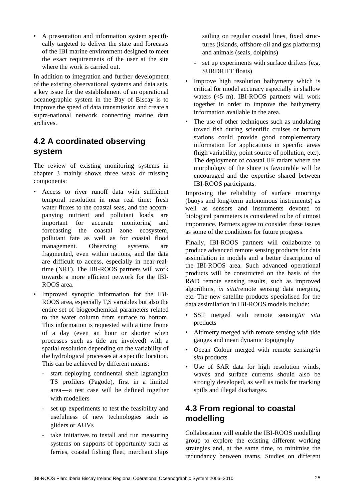• A presentation and information system specifically targeted to deliver the state and forecasts of the IBI marine environment designed to meet the exact requirements of the user at the site where the work is carried out.

In addition to integration and further development of the existing observational systems and data sets, a key issue for the establishment of an operational oceanographic system in the Bay of Biscay is to improve the speed of data transmission and create a supra-national network connecting marine data archives.

# **4.2 A coordinated observing system**

The review of existing monitoring systems in chapter 3 mainly shows three weak or missing components:

- Access to river runoff data with sufficient temporal resolution in near real time: fresh water fluxes to the coastal seas, and the accompanying nutrient and pollutant loads, are important for accurate monitoring and forecasting the coastal zone ecosystem, pollutant fate as well as for coastal flood management. Observing systems are fragmented, even within nations, and the data are difficult to access, especially in near-realtime (NRT). The IBI-ROOS partners will work towards a more efficient network for the IBI-ROOS area.
- Improved synoptic information for the IBI-ROOS area, especially T,S variables but also the entire set of biogeochemical parameters related to the water column from surface to bottom. This information is requested with a time frame of a day (even an hour or shorter when processes such as tide are involved) with a spatial resolution depending on the variability of the hydrological processes at a specific location. This can be achieved by different means:
	- start deploying continental shelf lagrangian TS profilers (Pagode), first in a limited area—a test case will be defined together with modellers
	- set up experiments to test the feasibility and usefulness of new technologies such as gliders or AUVs
	- take initiatives to install and run measuring systems on supports of opportunity such as ferries, coastal fishing fleet, merchant ships

sailing on regular coastal lines, fixed structures (islands, offshore oil and gas platforms) and animals (seals, dolphins)

- set up experiments with surface drifters (e.g. SURDRIFT floats)
- Improve high resolution bathymetry which is critical for model accuracy especially in shallow waters (<5 m). IBI-ROOS partners will work together in order to improve the bathymetry information available in the area.
- The use of other techniques such as undulating towed fish during scientific cruises or bottom stations could provide good complementary information for applications in specific areas (high variability, point source of pollution, etc.). The deployment of coastal HF radars where the morphology of the shore is favourable will be encouraged and the expertise shared between IBI-ROOS participants.

Improving the reliability of surface moorings (buoys and long-term autonomous instruments) as well as sensors and instruments devoted to biological parameters is considered to be of utmost importance. Partners agree to consider these issues as some of the conditions for future progress.

Finally, IBI-ROOS partners will collaborate to produce advanced remote sensing products for data assimilation in models and a better description of the IBI-ROOS area. Such advanced operational products will be constructed on the basis of the R&D remote sensing results, such as improved algorithms, *in situ*/remote sensing data merging, etc. The new satellite products specialised for the data assimilation in IBI-ROOS models include:

- SST merged with remote sensing/*in situ* products
- Altimetry merged with remote sensing with tide gauges and mean dynamic topography
- Ocean Colour merged with remote sensing/*in situ* products
- Use of SAR data for high resolution winds, waves and surface currents should also be strongly developed, as well as tools for tracking spills and illegal discharges.

# **4.3 From regional to coastal modelling**

Collaboration will enable the IBI-ROOS modelling group to explore the existing different working strategies and, at the same time, to minimise the redundancy between teams. Studies on different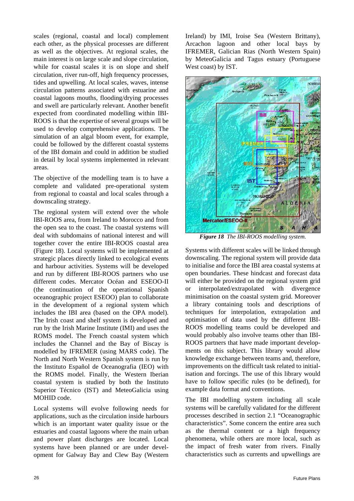scales (regional, coastal and local) complement each other, as the physical processes are different as well as the objectives. At regional scales, the main interest is on large scale and slope circulation, while for coastal scales it is on slope and shelf circulation, river run-off, high frequency processes, tides and upwelling. At local scales, waves, intense circulation patterns associated with estuarine and coastal lagoons mouths, flooding/drying processes and swell are particularly relevant. Another benefit expected from coordinated modelling within IBI-ROOS is that the expertise of several groups will be used to develop comprehensive applications. The simulation of an algal bloom event, for example, could be followed by the different coastal systems of the IBI domain and could in addition be studied in detail by local systems implemented in relevant areas.

The objective of the modelling team is to have a complete and validated pre-operational system from regional to coastal and local scales through a downscaling strategy.

The regional system will extend over the whole IBI-ROOS area, from Ireland to Morocco and from the open sea to the coast. The coastal systems will deal with subdomains of national interest and will together cover the entire IBI-ROOS coastal area (Figure 18). Local systems will be implemented at strategic places directly linked to ecological events and harbour activities. Systems will be developed and run by different IBI-ROOS partners who use different codes. Mercator Océan and ESEOO-II (the continuation of the operational Spanish oceanographic project ESEOO) plan to collaborate in the development of a regional system which includes the IBI area (based on the OPA model). The Irish coast and shelf system is developed and run by the Irish Marine Institute (IMI) and uses the ROMS model. The French coastal system which includes the Channel and the Bay of Biscay is modelled by IFREMER (using MARS code). The North and North Western Spanish system is run by the Instituto Español de Oceanografia (IEO) with the ROMS model. Finally, the Western Iberian coastal system is studied by both the Instituto Superior Técnico (IST) and MeteoGalicia using MOHID code.

Local systems will evolve following needs for applications, such as the circulation inside harbours which is an important water quality issue or the estuaries and coastal lagoons where the main urban and power plant discharges are located. Local systems have been planned or are under development for Galway Bay and Clew Bay (Western Ireland) by IMI, Iroise Sea (Western Brittany), Arcachon lagoon and other local bays by IFREMER, Galician Rias (North Western Spain) by MeteoGalicia and Tagus estuary (Portuguese West coast) by IST.



*Figure 18 The IBI-ROOS modelling system.*

Systems with different scales will be linked through downscaling. The regional system will provide data to initialise and force the IBI area coastal systems at open boundaries. These hindcast and forecast data will either be provided on the regional system grid or interpolated/extrapolated with divergence minimisation on the coastal system grid. Moreover a library containing tools and descriptions of techniques for interpolation, extrapolation and optimisation of data used by the different IBI-ROOS modelling teams could be developed and would probably also involve teams other than IBI-ROOS partners that have made important developments on this subject. This library would allow knowledge exchange between teams and, therefore, improvements on the difficult task related to initialisation and forcings. The use of this library would have to follow specific rules (to be defined), for example data format and conventions.

The IBI modelling system including all scale systems will be carefully validated for the different processes described in section 2.1 "Oceanographic characteristics". Some concern the entire area such as the thermal content or a high frequency phenomena, while others are more local, such as the impact of fresh water from rivers. Finally characteristics such as currents and upwellings are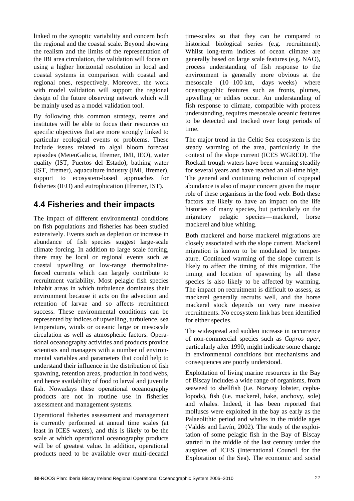linked to the synoptic variability and concern both the regional and the coastal scale. Beyond showing the realism and the limits of the representation of the IBI area circulation, the validation will focus on using a higher horizontal resolution in local and coastal systems in comparison with coastal and regional ones, respectively. Moreover, the work with model validation will support the regional design of the future observing network which will be mainly used as a model validation tool.

By following this common strategy, teams and institutes will be able to focus their resources on specific objectives that are more strongly linked to particular ecological events or problems. These include issues related to algal bloom forecast episodes (MeteoGalicia, Ifremer, IMI, IEO), water quality (IST, Puertos del Estado), bathing water (IST, Ifremer), aquaculture industry (IMI, Ifremer), support to ecosystem-based approaches for fisheries (IEO) and eutrophication (Ifremer, IST).

### **4.4 Fisheries and their impacts**

The impact of different environmental conditions on fish populations and fisheries has been studied extensively. Events such as depletion or increase in abundance of fish species suggest large-scale climate forcing. In addition to large scale forcing, there may be local or regional events such as coastal upwelling or low-range thermohalineforced currents which can largely contribute to recruitment variability. Most pelagic fish species inhabit areas in which turbulence dominates their environment because it acts on the advection and retention of larvae and so affects recruitment success. These environmental conditions can be represented by indices of upwelling, turbulence, sea temperature, winds or oceanic large or mesoscale circulation as well as atmospheric factors. Operational oceanography activities and products provide scientists and managers with a number of environmental variables and parameters that could help to understand their influence in the distribution of fish spawning, retention areas, production in food webs, and hence availability of food to larval and juvenile fish. Nowadays these operational oceanography products are not in routine use in fisheries assessment and management systems.

Operational fisheries assessment and management is currently performed at annual time scales (at least in ICES waters), and this is likely to be the scale at which operational oceanography products will be of greatest value. In addition, operational products need to be available over multi-decadal time-scales so that they can be compared to historical biological series (e.g. recruitment). Whilst long-term indices of ocean climate are generally based on large scale features (e.g. NAO), process understanding of fish response to the environment is generally more obvious at the mesoscale (10–100 km, days–weeks) where oceanographic features such as fronts, plumes, upwelling or eddies occur. An understanding of fish response to climate, compatible with process understanding, requires mesoscale oceanic features to be detected and tracked over long periods of time.

The major trend in the Celtic Sea ecosystem is the steady warming of the area, particularly in the context of the slope current (ICES WGRED). The Rockall trough waters have been warming steadily for several years and have reached an all-time high. The general and continuing reduction of copepod abundance is also of major concern given the major role of these organisms in the food web. Both these factors are likely to have an impact on the life histories of many species, but particularly on the migratory pelagic species—mackerel, horse mackerel and blue whiting.

Both mackerel and horse mackerel migrations are closely associated with the slope current. Mackerel migration is known to be modulated by temperature. Continued warming of the slope current is likely to affect the timing of this migration. The timing and location of spawning by all these species is also likely to be affected by warming. The impact on recruitment is difficult to assess, as mackerel generally recruits well, and the horse mackerel stock depends on very rare massive recruitments. No ecosystem link has been identified for either species.

The widespread and sudden increase in occurrence of non-commercial species such as *Capros aper*, particularly after 1990, might indicate some change in environmental conditions but mechanisms and consequences are poorly understood.

Exploitation of living marine resources in the Bay of Biscay includes a wide range of organisms, from seaweed to shellfish (i.e. Norway lobster, cephalopods), fish (i.e. mackerel, hake, anchovy, sole) and whales. Indeed, it has been reported that molluscs were exploited in the bay as early as the Palaeolithic period and whales in the middle ages (Valdés and Lavín, 2002). The study of the exploitation of some pelagic fish in the Bay of Biscay started in the middle of the last century under the auspices of ICES (International Council for the Exploration of the Sea). The economic and social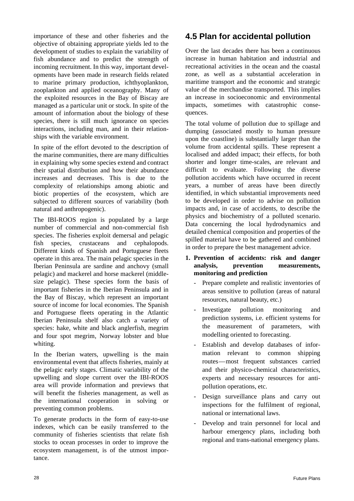importance of these and other fisheries and the objective of obtaining appropriate yields led to the development of studies to explain the variability of fish abundance and to predict the strength of incoming recruitment. In this way, important developments have been made in research fields related to marine primary production, ichthyoplankton, zooplankton and applied oceanography. Many of the exploited resources in the Bay of Biscay are managed as a particular unit or stock. In spite of the amount of information about the biology of these species, there is still much ignorance on species interactions, including man, and in their relationships with the variable environment.

In spite of the effort devoted to the description of the marine communities, there are many difficulties in explaining why some species extend and contract their spatial distribution and how their abundance increases and decreases. This is due to the complexity of relationships among abiotic and biotic properties of the ecosystem, which are subjected to different sources of variability (both natural and anthropogenic).

The IBI-ROOS region is populated by a large number of commercial and non-commercial fish species. The fisheries exploit demersal and pelagic fish species, crustaceans and cephalopods. Different kinds of Spanish and Portuguese fleets operate in this area. The main pelagic species in the Iberian Peninsula are sardine and anchovy (small pelagic) and mackerel and horse mackerel (middlesize pelagic). These species form the basis of important fisheries in the Iberian Peninsula and in the Bay of Biscay, which represent an important source of income for local economies. The Spanish and Portuguese fleets operating in the Atlantic Iberian Peninsula shelf also catch a variety of species: hake, white and black anglerfish, megrim and four spot megrim, Norway lobster and blue whiting.

In the Iberian waters, upwelling is the main environmental event that affects fisheries, mainly at the pelagic early stages. Climatic variability of the upwelling and slope current over the IBI-ROOS area will provide information and previews that will benefit the fisheries management, as well as the international cooperation in solving or preventing common problems.

To generate products in the form of easy-to-use indexes, which can be easily transferred to the community of fisheries scientists that relate fish stocks to ocean processes in order to improve the ecosystem management, is of the utmost importance.

# **4.5 Plan for accidental pollution**

Over the last decades there has been a continuous increase in human habitation and industrial and recreational activities in the ocean and the coastal zone, as well as a substantial acceleration in maritime transport and the economic and strategic value of the merchandise transported. This implies an increase in socioeconomic and environmental impacts, sometimes with catastrophic consequences.

The total volume of pollution due to spillage and dumping (associated mostly to human pressure upon the coastline) is substantially larger than the volume from accidental spills. These represent a localised and added impact; their effects, for both shorter and longer time-scales, are relevant and difficult to evaluate. Following the diverse pollution accidents which have occurred in recent years, a number of areas have been directly identified, in which substantial improvements need to be developed in order to advise on pollution impacts and, in case of accidents, to describe the physics and biochemistry of a polluted scenario. Data concerning the local hydrodynamics and detailed chemical composition and properties of the spilled material have to be gathered and combined in order to prepare the best management advice.

### **1. Prevention of accidents: risk and danger analysis, prevention measurements, monitoring and prediction**

- Prepare complete and realistic inventories of areas sensitive to pollution (areas of natural resources, natural beauty, etc.)
- Investigate pollution monitoring and prediction systems, i.e. efficient systems for the measurement of parameters, with modelling oriented to forecasting.
- Establish and develop databases of information relevant to common shipping routes—most frequent substances carried and their physico-chemical characteristics, experts and necessary resources for antipollution operations, etc.
- Design surveillance plans and carry out inspections for the fulfilment of regional, national or international laws.
- Develop and train personnel for local and harbour emergency plans, including both regional and trans-national emergency plans.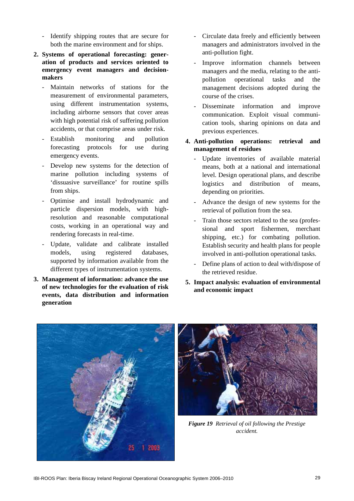- Identify shipping routes that are secure for both the marine environment and for ships.
- **2. Systems of operational forecasting: generation of products and services oriented to emergency event managers and decisionmakers**
	- Maintain networks of stations for the measurement of environmental parameters, using different instrumentation systems, including airborne sensors that cover areas with high potential risk of suffering pollution accidents, or that comprise areas under risk.
	- Establish monitoring and pollution forecasting protocols for use during emergency events.
	- Develop new systems for the detection of marine pollution including systems of 'dissuasive surveillance' for routine spills from ships.
	- Optimise and install hydrodynamic and particle dispersion models, with highresolution and reasonable computational costs, working in an operational way and rendering forecasts in real-time.
	- Update, validate and calibrate installed models, using registered databases, supported by information available from the different types of instrumentation systems.
- **3. Management of information: advance the use of new technologies for the evaluation of risk events, data distribution and information generation**
- Circulate data freely and efficiently between managers and administrators involved in the anti-pollution fight.
- Improve information channels between managers and the media, relating to the antipollution operational tasks and the management decisions adopted during the course of the crises.
- Disseminate information and improve communication. Exploit visual communication tools, sharing opinions on data and previous experiences.

### **4. Anti-pollution operations: retrieval and management of residues**

- Update inventories of available material means, both at a national and international level. Design operational plans, and describe logistics and distribution of means, depending on priorities.
- Advance the design of new systems for the retrieval of pollution from the sea.
- Train those sectors related to the sea (professional and sport fishermen, merchant shipping, etc.) for combating pollution. Establish security and health plans for people involved in anti-pollution operational tasks.
- Define plans of action to deal with/dispose of the retrieved residue.
- **5. Impact analysis: evaluation of environmental and economic impact**





*Figure 19 Retrieval of oil following the Prestige accident.*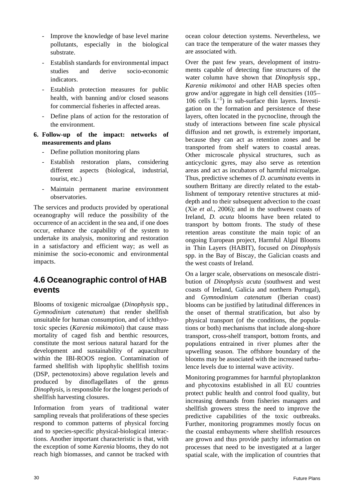- Improve the knowledge of base level marine pollutants, especially in the biological substrate.
- Establish standards for environmental impact studies and derive socio-economic indicators.
- Establish protection measures for public health, with banning and/or closed seasons for commercial fisheries in affected areas.
- Define plans of action for the restoration of the environment.
- **6. Follow-up of the impact: networks of measurements and plans**
	- Define pollution monitoring plans
	- Establish restoration plans, considering different aspects (biological, industrial, tourist, etc.)
	- Maintain permanent marine environment observatories.

The services and products provided by operational oceanography will reduce the possibility of the occurrence of an accident in the sea and, if one does occur, enhance the capability of the system to undertake its analysis, monitoring and restoration in a satisfactory and efficient way; as well as minimise the socio-economic and environmental impacts.

# **4.6 Oceanographic control of HAB events**

Blooms of toxigenic microalgae (*Dinophysis* spp., *Gymnodinium catenatum*) that render shellfish unsuitable for human consumption, and of ichthyotoxic species (*Karenia mikimotoi*) that cause mass mortality of caged fish and benthic resources, constitute the most serious natural hazard for the development and sustainability of aquaculture within the IBI-ROOS region. Contamination of farmed shellfish with lipophylic shellfish toxins (DSP, pectenotoxins) above regulation levels and produced by dinoflagellates of the genus *Dinophysis*, is responsible for the longest periods of shellfish harvesting closures.

Information from years of traditional water sampling reveals that proliferations of these species respond to common patterns of physical forcing and to species-specific physical-biological interactions. Another important characteristic is that, with the exception of some *Karenia* blooms, they do not reach high biomasses, and cannot be tracked with ocean colour detection systems. Nevertheless, we can trace the temperature of the water masses they are associated with.

Over the past few years, development of instruments capable of detecting fine structures of the water column have shown that *Dinophysis* spp., *Karenia mikimotoi* and other HAB species often grow and/or aggregate in high cell densities (105– 106 cells  $L^{-1}$ ) in sub-surface thin layers. Investigation on the formation and persistence of these layers, often located in the pycnocline, through the study of interactions between fine scale physical diffusion and net growth, is extremely important, because they can act as retention zones and be transported from shelf waters to coastal areas. Other microscale physical structures, such as anticyclonic gyres, may also serve as retention areas and act as incubators of harmful microalgae. Thus, predictive schemes of *D. acuminata* events in southern Brittany are directly related to the establishment of temporary retentive structures at middepth and to their subsequent advection to the coast (Xie *et al.*, 2006); and in the southwest coasts of Ireland, *D. acuta* blooms have been related to transport by bottom fronts. The study of these retention areas constitute the main topic of an ongoing European project, Harmful Algal Blooms in Thin Layers (HABIT), focused on *Dinophysis* spp. in the Bay of Biscay, the Galician coasts and the west coasts of Ireland.

On a larger scale, observations on mesoscale distribution of *Dinophysis acuta* (southwest and west coasts of Ireland, Galicia and northern Portugal), and *Gymnodinium catenatum* (Iberian coast) blooms can be justified by latitudinal differences in the onset of thermal stratification, but also by physical transport (of the conditions, the populations or both) mechanisms that include along-shore transport, cross-shelf transport, bottom fronts, and populations entrained in river plumes after the upwelling season. The offshore boundary of the blooms may be associated with the increased turbulence levels due to internal wave activity.

Monitoring programmes for harmful phytoplankton and phycotoxins established in all EU countries protect public health and control food quality, but increasing demands from fisheries managers and shellfish growers stress the need to improve the predictive capabilities of the toxic outbreaks. Further, monitoring programmes mostly focus on the coastal embayments where shellfish resources are grown and thus provide patchy information on processes that need to be investigated at a larger spatial scale, with the implication of countries that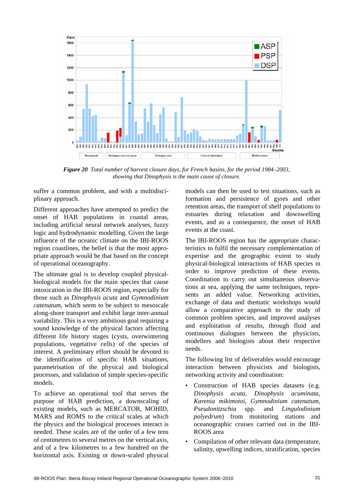

*Figure 20 Total number of harvest closure days, for French basins, for the period 1984–2003, showing that Dinophysis is the main cause of closure.*

suffer a common problem, and with a multidisciplinary approach.

Different approaches have attempted to predict the onset of HAB populations in coastal areas, including artificial neural network analyses, fuzzy logic and hydrodynamic modelling. Given the large influence of the oceanic climate on the IBI-ROOS region coastlines, the belief is that the most appropriate approach would be that based on the concept of operational oceanography.

The ultimate goal is to develop coupled physicalbiological models for the main species that cause intoxication in the IBI-ROOS region, especially for those such as *Dinophysis acuta* and *Gymnodinium catenatum*, which seem to be subject to mesoscale along-shore transport and exhibit large inter-annual variability. This is a very ambitious goal requiring a sound knowledge of the physical factors affecting different life history stages (cysts, overwintering populations, vegetative cells) of the species of interest. A preliminary effort should be devoted to the identification of specific HAB situations, parametrisation of the physical and biological processes, and validation of simple species-specific models.

To achieve an operational tool that serves the purpose of HAB prediction, a downscaling of existing models, such as MERCATOR, MOHID, MARS and ROMS to the critical scales at which the physics and the biological processes interact is needed. These scales are of the order of a few tens of centimetres to several metres on the vertical axis, and of a few kilometres to a few hundred on the horizontal axis. Existing or down-scaled physical models can then be used to test situations, such as formation and persistence of gyres and other retention areas, the transport of shelf populations to estuaries during relaxation and downwelling events, and as a consequence, the onset of HAB events at the coast.

The IBI-ROOS region has the appropriate characteristics to fulfil the necessary complementation of expertise and the geographic extent to study physical-biological interactions of HAB species in order to improve prediction of these events. Coordination to carry out simultaneous observations at sea, applying the same techniques, represents an added value. Networking activities, exchange of data and thematic workshops would allow a comparative approach to the study of common problem species, and improved analyses and exploitation of results, through fluid and continuous dialogues between the physicists, modellers and biologists about their respective needs.

The following list of deliverables would encourage interaction between physicists and biologists, networking activity and coordination:

- Construction of HAB species datasets (e.g. *Dinophysis acuta*, *Dinophysis acuminata*, *Karenia mikimotoi*, *Gymnodinium catenatum*, *Pseudonitzschia* spp. and *Lingulodinium polyedrum*) from monitoring stations and oceanographic cruises carried out in the IBI-ROOS area
- Compilation of other relevant data (temperature, salinity, upwelling indices, stratification, species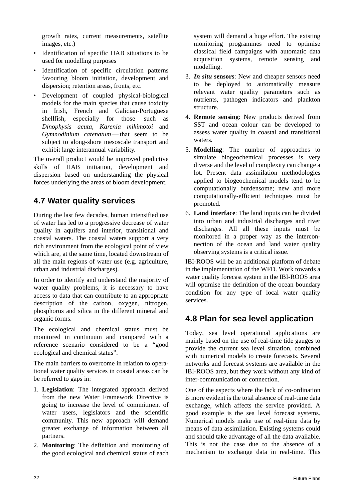growth rates, current measurements, satellite images, etc.)

- Identification of specific HAB situations to be used for modelling purposes
- Identification of specific circulation patterns favouring bloom initiation, development and dispersion; retention areas, fronts, etc.
- Development of coupled physical-biological models for the main species that cause toxicity in Irish, French and Galician-Portuguese shellfish, especially for those — such as *Dinophysis acuta*, *Karenia mikimotoi* and *Gymnodinium catenatum* — that seem to be subject to along-shore mesoscale transport and exhibit large interannual variability.

The overall product would be improved predictive skills of HAB initiation, development and dispersion based on understanding the physical forces underlying the areas of bloom development.

# **4.7 Water quality services**

During the last few decades, human intensified use of water has led to a progressive decrease of water quality in aquifers and interior, transitional and coastal waters. The coastal waters support a very rich environment from the ecological point of view which are, at the same time, located downstream of all the main regions of water use (e.g. agriculture, urban and industrial discharges).

In order to identify and understand the majority of water quality problems, it is necessary to have access to data that can contribute to an appropriate description of the carbon, oxygen, nitrogen, phosphorus and silica in the different mineral and organic forms.

The ecological and chemical status must be monitored in continuum and compared with a reference scenario considered to be a "good ecological and chemical status".

The main barriers to overcome in relation to operational water quality services in coastal areas can be be referred to gaps in:

- 1. **Legislation**: The integrated approach derived from the new Water Framework Directive is going to increase the level of commitment of water users, legislators and the scientific community. This new approach will demand greater exchange of information between all partners.
- 2. **Monitoring**: The definition and monitoring of the good ecological and chemical status of each

system will demand a huge effort. The existing monitoring programmes need to optimise classical field campaigns with automatic data acquisition systems, remote sensing and modelling.

- 3. *In situ* **sensors**: New and cheaper sensors need to be deployed to automatically measure relevant water quality parameters such as nutrients, pathogen indicators and plankton structure.
- 4. **Remote sensing**: New products derived from SST and ocean colour can be developed to assess water quality in coastal and transitional waters.
- 5. **Modelling**: The number of approaches to simulate biogeochemical processes is very diverse and the level of complexity can change a lot. Present data assimilation methodologies applied to biogeochemical models tend to be computationally burdensome; new and more computationally-efficient techniques must be promoted.
- 6. **Land interface**: The land inputs can be divided into urban and industrial discharges and river discharges. All all these inputs must be monitored in a proper way as the interconnection of the ocean and land water quality observing systems is a critical issue.

IBI-ROOS will be an additional platform of debate in the implementation of the WFD. Work towards a water quality forecast system in the IBI-ROOS area will optimise the definition of the ocean boundary condition for any type of local water quality services.

# **4.8 Plan for sea level application**

Today, sea level operational applications are mainly based on the use of real-time tide gauges to provide the current sea level situation, combined with numerical models to create forecasts. Several networks and forecast systems are available in the IBI-ROOS area, but they work without any kind of inter-communication or connection.

One of the aspects where the lack of co-ordination is more evident is the total absence of real-time data exchange, which affects the service provided. A good example is the sea level forecast systems. Numerical models make use of real-time data by means of data assimilation. Existing systems could and should take advantage of all the data available. This is not the case due to the absence of a mechanism to exchange data in real-time. This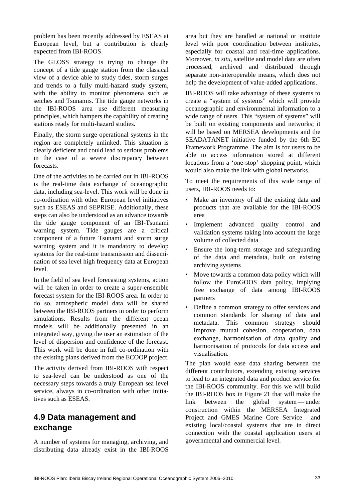problem has been recently addressed by ESEAS at European level, but a contribution is clearly expected from IBI-ROOS.

The GLOSS strategy is trying to change the concept of a tide gauge station from the classical view of a device able to study tides, storm surges and trends to a fully multi-hazard study system, with the ability to monitor phenomena such as seiches and Tsunamis. The tide gauge networks in the IBI-ROOS area use different measuring principles, which hampers the capability of creating stations ready for multi-hazard studies.

Finally, the storm surge operational systems in the region are completely unlinked. This situation is clearly deficient and could lead to serious problems in the case of a severe discrepancy between forecasts.

One of the activities to be carried out in IBI-ROOS is the real-time data exchange of oceanographic data, including sea-level. This work will be done in co-ordination with other European level initiatives such as ESEAS and SEPRISE. Additionally, these steps can also be understood as an advance towards the tide gauge component of an IBI-Tsunami warning system. Tide gauges are a critical component of a future Tsunami and storm surge warning system and it is mandatory to develop systems for the real-time transmission and dissemination of sea level high frequency data at European level.

In the field of sea level forecasting systems, action will be taken in order to create a super-ensemble forecast system for the IBI-ROOS area. In order to do so, atmospheric model data will be shared between the IBI-ROOS partners in order to perform simulations. Results from the different ocean models will be additionally presented in an integrated way, giving the user an estimation of the level of dispersion and confidence of the forecast. This work will be done in full co-ordination with the existing plans derived from the ECOOP project.

The activity derived from IBI-ROOS with respect to sea-level can be understood as one of the necessary steps towards a truly European sea level service, always in co-ordination with other initiatives such as ESEAS.

# **4.9 Data management and exchange**

A number of systems for managing, archiving, and distributing data already exist in the IBI-ROOS

area but they are handled at national or institute level with poor coordination between institutes, especially for coastal and real-time applications. Moreover, *in situ*, satellite and model data are often processed, archived and distributed through separate non-interoperable means, which does not help the development of value-added applications.

IBI-ROOS will take advantage of these systems to create a "system of systems" which will provide oceanographic and environmental information to a wide range of users. This "system of systems" will be built on existing components and networks; it will be based on MERSEA developments and the SEADATANET initiative funded by the 6th EC Framework Programme. The aim is for users to be able to access information stored at different locations from a 'one-stop' shopping point, which would also make the link with global networks.

To meet the requirements of this wide range of users, IBI-ROOS needs to:

- Make an inventory of all the existing data and products that are available for the IBI-ROOS area
- Implement advanced quality control and validation systems taking into account the large volume of collected data
- Ensure the long-term storage and safeguarding of the data and metadata, built on existing archiving systems
- Move towards a common data policy which will follow the EuroGOOS data policy, implying free exchange of data among IBI-ROOS partners
- Define a common strategy to offer services and common standards for sharing of data and metadata. This common strategy should improve mutual cohesion, cooperation, data exchange, harmonisation of data quality and harmonisation of protocols for data access and visualisation.

The plan would ease data sharing between the different contributors, extending existing services to lead to an integrated data and product service for the IBI-ROOS community. For this we will build the IBI-ROOS box in Figure 21 that will make the link between the global system — under construction within the MERSEA Integrated Project and GMES Marine Core Service — and existing local/coastal systems that are in direct connection with the coastal application users at governmental and commercial level.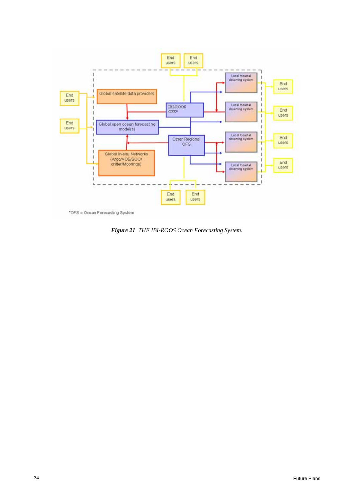

\*OFS = Ocean Forecasting System

*Figure 21 THE IBI-ROOS Ocean Forecasting System.*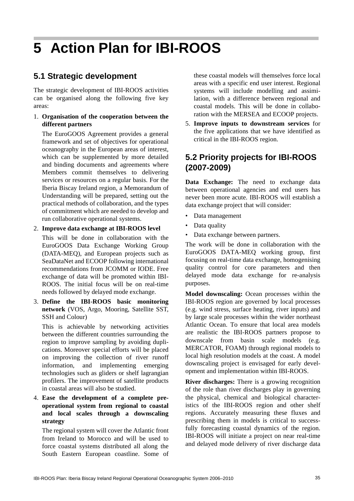# **5 Action Plan for IBI-ROOS**

# **5.1 Strategic development**

The strategic development of IBI-ROOS activities can be organised along the following five key areas:

### 1. **Organisation of the cooperation between the different partners**

The EuroGOOS Agreement provides a general framework and set of objectives for operational oceanography in the European areas of interest, which can be supplemented by more detailed and binding documents and agreements where Members commit themselves to delivering services or resources on a regular basis. For the Iberia Biscay Ireland region, a Memorandum of Understanding will be prepared, setting out the practical methods of collaboration, and the types of commitment which are needed to develop and run collaborative operational systems.

2. **Improve data exchange at IBI-ROOS level**

This will be done in collaboration with the EuroGOOS Data Exchange Working Group (DATA-MEQ), and European projects such as SeaDataNet and ECOOP following international recommendations from JCOMM or IODE. Free exchange of data will be promoted within IBI-ROOS. The initial focus will be on real-time needs followed by delayed mode exchange.

3. **Define the IBI-ROOS basic monitoring network** (VOS, Argo, Mooring, Satellite SST, SSH and Colour)

This is achievable by networking activities between the different countries surrounding the region to improve sampling by avoiding duplications. Moreover special efforts will be placed on improving the collection of river runoff information, and implementing emerging technologies such as gliders or shelf lagrangian profilers. The improvement of satellite products in coastal areas will also be studied.

### 4. **Ease the development of a complete preoperational system from regional to coastal and local scales through a downscaling strategy**

The regional system will cover the Atlantic front from Ireland to Morocco and will be used to force coastal systems distributed all along the South Eastern European coastline. Some of these coastal models will themselves force local areas with a specific end user interest. Regional systems will include modelling and assimilation, with a difference between regional and coastal models. This will be done in collaboration with the MERSEA and ECOOP projects.

5. **Improve inputs to downstream services** for the five applications that we have identified as critical in the IBI-ROOS region.

# **5.2 Priority projects for IBI-ROOS (2007-2009)**

**Data Exchange:** The need to exchange data between operational agencies and end users has never been more acute. IBI-ROOS will establish a data exchange project that will consider:

- Data management
- Data quality
- Data exchange between partners.

The work will be done in collaboration with the EuroGOOS DATA-MEQ working group, first focusing on real-time data exchange, homogenising quality control for core parameters and then delayed mode data exchange for re-analysis purposes.

**Model downscaling:** Ocean processes within the IBI-ROOS region are governed by local processes (e.g. wind stress, surface heating, river inputs) and by large scale processes within the wider northeast Atlantic Ocean. To ensure that local area models are realistic the IBI-ROOS partners propose to downscale from basin scale models (e.g. MERCATOR, FOAM) through regional models to local high resolution models at the coast. A model downscaling project is envisaged for early development and implementation within IBI-ROOS.

**River discharges:** There is a growing recognition of the role than river discharges play in governing the physical, chemical and biological characteristics of the IBI-ROOS region and other shelf regions. Accurately measuring these fluxes and prescribing them in models is critical to successfully forecasting coastal dynamics of the region. IBI-ROOS will initiate a project on near real-time and delayed mode delivery of river discharge data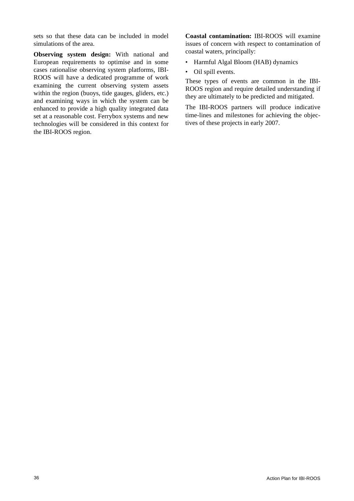sets so that these data can be included in model simulations of the area.

**Observing system design:** With national and European requirements to optimise and in some cases rationalise observing system platforms, IBI-ROOS will have a dedicated programme of work examining the current observing system assets within the region (buoys, tide gauges, gliders, etc.) and examining ways in which the system can be enhanced to provide a high quality integrated data set at a reasonable cost. Ferrybox systems and new technologies will be considered in this context for the IBI-ROOS region.

**Coastal contamination:** IBI-ROOS will examine issues of concern with respect to contamination of coastal waters, principally:

- Harmful Algal Bloom (HAB) dynamics
- Oil spill events.

These types of events are common in the IBI-ROOS region and require detailed understanding if they are ultimately to be predicted and mitigated.

The IBI-ROOS partners will produce indicative time-lines and milestones for achieving the objectives of these projects in early 2007.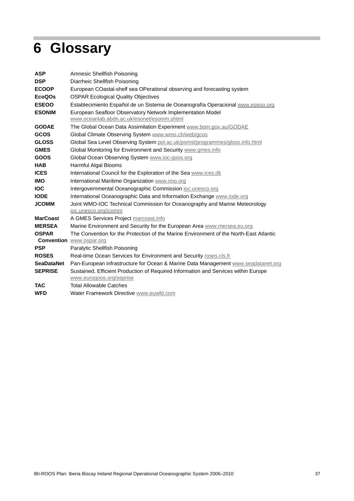# $\overline{\mathbb{R}}$ **6 Glossary**

| <b>ASP</b>         | Amnesic Shellfish Poisoning                                                            |
|--------------------|----------------------------------------------------------------------------------------|
| <b>DSP</b>         | Diarrheic Shellfish Poisoning                                                          |
| <b>ECOOP</b>       | European COastal-shelf sea OPerational observing and forecasting system                |
| EcoQO <sub>S</sub> | <b>OSPAR Ecological Quality Objectives</b>                                             |
| <b>ESEOO</b>       | Establecimiento Español de un Sistema de Oceanografía Operacional www.eseoo.org        |
| <b>ESONIM</b>      | European Seafloor Observatory Network Implementation Model                             |
|                    | www.oceanlab.abdn.ac.uk/esonet/esonim.shtml                                            |
| <b>GODAE</b>       | The Global Ocean Data Assimilation Experiment www.bom.gov.au/GODAE                     |
| <b>GCOS</b>        | Global Climate Observing System www.wmo.ch/web/gcos                                    |
| <b>GLOSS</b>       | Global Sea Level Observing System pol.ac.uk/psmsl/programmes/gloss.info.html           |
| <b>GMES</b>        | Global Monitoring for Environment and Security www.gmes.info                           |
| <b>GOOS</b>        | Global Ocean Observing System www.ioc-goos.org                                         |
| <b>HAB</b>         | Harmful Algal Blooms                                                                   |
| <b>ICES</b>        | International Council for the Exploration of the Sea www.ices.dk                       |
| <b>IMO</b>         | International Maritime Organization www.imo.org                                        |
| <b>IOC</b>         | Intergovernmental Oceanographic Commission ioc.unesco.org                              |
| <b>IODE</b>        | International Oceanographic Data and Information Exchange www.iode.org                 |
| <b>JCOMM</b>       | Joint WMO-IOC Technical Commission for Oceanography and Marine Meteorology             |
|                    | ioc.unesco.org/jcomm                                                                   |
| <b>MarCoast</b>    | A GMES Services Project marcoast.info                                                  |
| <b>MERSEA</b>      | Marine Environment and Security for the European Area www.mersea.eu.org                |
| <b>OSPAR</b>       | The Convention for the Protection of the Marine Environment of the North-East Atlantic |
|                    | <b>Convention WWW.OSpar.org</b>                                                        |
| <b>PSP</b>         | Paralytic Shellfish Poisoning                                                          |
| <b>ROSES</b>       | Real-time Ocean Services for Environment and Security roses.cls.fr                     |
| <b>SeaDataNet</b>  | Pan-European infrastructure for Ocean & Marine Data Management www.seadatanet.org      |
| <b>SEPRISE</b>     | Sustained, Efficient Production of Required Information and Services within Europe     |
|                    | www.eurogoos.org/seprise                                                               |
| <b>TAC</b>         | <b>Total Allowable Catches</b>                                                         |
| <b>WFD</b>         | Water Framework Directive www.euwfd.com                                                |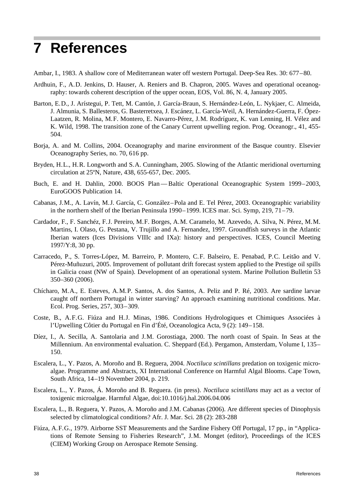# **7 References**

Ambar, I., 1983. A shallow core of Mediterranean water off western Portugal. Deep-Sea Res. 30: 677–80.

- Ardhuin, F., A.D. Jenkins, D. Hauser, A. Reniers and B. Chapron, 2005. Waves and operational oceanography: towards coherent description of the upper ocean, EOS, Vol. 86, N. 4, January 2005.
- Barton, E.D., J. Arístegui, P. Tett, M. Cantón, J. García-Braun, S. Hernández-León, L. Nykjaer, C. Almeida, J. Almunia, S. Ballesteros, G. Basterretxea, J. Escánez, L. García-Weil, A. Hernández-Guerra, F. Ópez-Laatzen, R. Molina, M.F. Montero, E. Navarro-Pérez, J.M. Rodríguez, K. van Lenning, H. Vélez and K. Wild, 1998. The transition zone of the Canary Current upwelling region. Prog. Oceanogr., 41, 455- 504.
- Borja, A. and M. Collins, 2004. Oceanography and marine environment of the Basque country. Elsevier Oceanography Series, no. 70, 616 pp.
- Bryden, H.L., H.R. Longworth and S.A. Cunningham, 2005. Slowing of the Atlantic meridional overturning circulation at 25ºN, Nature, 438, 655-657, Dec. 2005.
- Buch, E. and H. Dahlin, 2000. BOOS Plan Baltic Operational Oceanographic System 1999–2003, EuroGOOS Publication 14.
- Cabanas, J.M., A. Lavín, M.J. García, C. González–Pola and E. Tel Pérez, 2003. Oceanographic variability in the northern shelf of the Iberian Peninsula 1990–1999. ICES mar. Sci. Symp, 219, 71–79.
- Cardador, F., F. Sanchéz, F.J. Pereiro, M.F. Borges, A.M. Caramelo, M. Azevedo, A. Silva, N. Pérez, M.M. Martins, I. Olaso, G. Pestana, V. Trujillo and A. Fernandez, 1997. Groundfish surveys in the Atlantic Iberian waters (Ices Divisions VIIIc and IXa): history and perspectives. ICES, Council Meeting 1997/Y:8, 30 pp.
- Carracedo, P., S. Torres-López, M. Barreiro, P. Montero, C.F. Balseiro, E. Penabad, P.C. Leitão and V. Pérez-Muñuzuri, 2005. Improvement of pollutant drift forecast system applied to the Prestige oil spills in Galicia coast (NW of Spain). Development of an operational system. Marine Pollution Bulletin 53 350–360 (2006).
- Chícharo, M.A., E. Esteves, A.M.P. Santos, A. dos Santos, A. Peliz and P. Ré, 2003. Are sardine larvae caught off northern Portugal in winter starving? An approach examining nutritional conditions. Mar. Ecol. Prog. Series, 257, 303–309.
- Coste, B., A.F.G. Fiúza and H.J. Minas, 1986. Conditions Hydrologiques et Chimiques Associées à l'Upwelling Côtier du Portugal en Fin d'Été, Oceanologica Acta, 9 (2): 149–158.
- Díez, I., A. Secilla, A. Santolaria and J.M. Gorostiaga, 2000. The north coast of Spain. In Seas at the Millennium. An environmental evaluation. C. Sheppard (Ed.). Pergamon, Amsterdam, Volume I, 135– 150.
- Escalera, L., Y. Pazos, A. Moroño and B. Reguera, 2004. *Noctiluca scintillans* predation on toxigenic microalgae. Programme and Abstracts, XI International Conference on Harmful Algal Blooms. Cape Town, South Africa, 14–19 November 2004, p. 219.
- Escalera, L., Y. Pazos, Á. Moroño and B. Reguera. (in press). *Noctiluca scintillans* may act as a vector of toxigenic microalgae. Harmful Algae, doi:10.1016/j.hal.2006.04.006
- Escalera, L., B. Reguera, Y. Pazos, A. Moroño and J.M. Cabanas (2006). Are different species of Dinophysis selected by climatological conditions? Afr. J. Mar. Sci. 28 (2): 283-288
- Fiúza, A.F.G., 1979. Airborne SST Measurements and the Sardine Fishery Off Portugal, 17 pp., in "Applications of Remote Sensing to Fisheries Research", J.M. Monget (editor), Proceedings of the ICES (CIEM) Working Group on Aerospace Remote Sensing.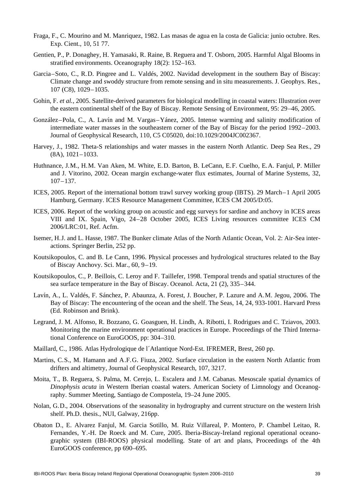- Fraga, F., C. Mourino and M. Manriquez, 1982. Las masas de agua en la costa de Galicia: junio octubre. Res. Exp. Cient., 10, 51 77.
- Gentien, P., P. Donaghey, H. Yamasaki, R. Raine, B. Reguera and T. Osborn, 2005. Harmful Algal Blooms in stratified environments. Oceanography 18(2): 152–163.
- Garcia–Soto, C., R.D. Pingree and L. Valdés, 2002. Navidad development in the southern Bay of Biscay: Climate change and swoddy structure from remote sensing and in situ measurements. J. Geophys. Res., 107 (C8), 1029–1035.
- Gohin, F. *et al.*, 2005. Satellite-derived parameters for biological modelling in coastal waters: Illustration over the eastern continental shelf of the Bay of Biscay. Remote Sensing of Environment, 95: 29–46, 2005.
- González–Pola, C., A. Lavín and M. Vargas–Yánez, 2005. Intense warming and salinity modification of intermediate water masses in the southeastern corner of the Bay of Biscay for the period 1992–2003. Journal of Geophysical Research, 110, C5 C05020, doi:10.1029/2004JC002367.
- Harvey, J., 1982. Theta-S relationships and water masses in the eastern North Atlantic. Deep Sea Res., 29 (8A), 1021–1033.
- Huthnance, J.M., H.M. Van Aken, M. White, E.D. Barton, B. LeCann, E.F. Cuelho, E.A. Fanjul, P. Miller and J. Vitorino, 2002. Ocean margin exchange-water flux estimates, Journal of Marine Systems, 32, 107–137.
- ICES, 2005. Report of the international bottom trawl survey working group (IBTS). 29 March–1 April 2005 Hamburg, Germany. ICES Resource Management Committee, ICES CM 2005/D:05.
- ICES, 2006. Report of the working group on acoustic and egg surveys for sardine and anchovy in ICES areas VIII and IX. Spain, Vigo, 24–28 October 2005, ICES Living resources committee ICES CM 2006/LRC:01, Ref. Acfm.
- Isemer, H.J. and L. Hasse, 1987. The Bunker climate Atlas of the North Atlantic Ocean, Vol. 2: Air-Sea interactions. Springer Berlin, 252 pp.
- Koutsikopoulos, C. and B. Le Cann, 1996. Physical processes and hydrological structures related to the Bay of Biscay Anchovy. Sci. Mar., 60, 9–19.
- Koutsikopoulos, C., P. Beillois, C. Leroy and F. Taillefer, 1998. Temporal trends and spatial structures of the sea surface temperature in the Bay of Biscay. Oceanol. Acta, 21 (2), 335–344.
- Lavín, A., L. Valdés, F. Sánchez, P. Abaunza, A. Forest, J. Boucher, P. Lazure and A.M. Jegou, 2006. The Bay of Biscay: The encountering of the ocean and the shelf. The Seas, 14, 24, 933-1001. Harvard Press (Ed. Robinson and Brink).
- Legrand, J. M. Alfonso, R. Bozzano, G. Goasguen, H. Lindh, A. Ribotti, I. Rodrigues and C. Tziavos, 2003. Monitoring the marine environment operational practices in Europe. Proceedings of the Third International Conference on EuroGOOS, pp: 304–310.
- Maillard, C., 1986. Atlas Hydrologique de l´Atlantique Nord-Est. IFREMER, Brest, 260 pp.
- Martins, C.S., M. Hamann and A.F.G. Fiuza, 2002. Surface circulation in the eastern North Atlantic from drifters and altimetry, Journal of Geophysical Research, 107, 3217.
- Moita, T., B. Reguera, S. Palma, M. Cerejo, L. Escalera and J.M. Cabanas. Mesoscale spatial dynamics of *Dinophysis acuta* in Western Iberian coastal waters. American Society of Limnology and Oceanography. Summer Meeting, Santiago de Compostela, 19–24 June 2005.
- Nolan, G.D., 2004. Observations of the seasonality in hydrography and current structure on the western Irish shelf. Ph.D. thesis., NUI, Galway, 216pp.
- Obaton D., E. Alvarez Fanjul, M. Garcia Sotillo, M. Ruiz Villareal, P. Montero, P. Chambel Leitao, R. Fernandes, Y.-H. De Roeck and M. Cure, 2005. Iberia-Biscay-Ireland regional operational oceanographic system (IBI-ROOS) physical modelling. State of art and plans, Proceedings of the 4th EuroGOOS conference, pp 690–695.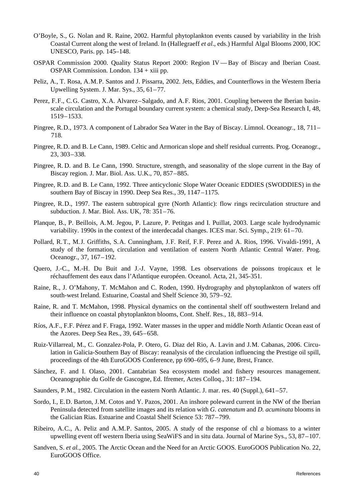- O'Boyle, S., G. Nolan and R. Raine, 2002. Harmful phytoplankton events caused by variability in the Irish Coastal Current along the west of Ireland. In (Hallegraeff *et al*., eds.) Harmful Algal Blooms 2000, IOC UNESCO, Paris. pp. 145–148.
- OSPAR Commission 2000. Quality Status Report 2000: Region IV Bay of Biscay and Iberian Coast. OSPAR Commission. London. 134 + xiii pp.
- Peliz, A., T. Rosa, A.M.P. Santos and J. Pissarra, 2002. Jets, Eddies, and Counterflows in the Western Iberia Upwelling System. J. Mar. Sys., 35, 61–77.
- Perez, F.F., C.G. Castro, X.A. Alvarez–Salgado, and A.F. Rios, 2001. Coupling between the Iberian basinscale circulation and the Portugal boundary current system: a chemical study, Deep-Sea Research I, 48, 1519–1533.
- Pingree, R.D., 1973. A component of Labrador Sea Water in the Bay of Biscay. Limnol. Oceanogr., 18, 711– 718.
- Pingree, R.D. and B. Le Cann, 1989. Celtic and Armorican slope and shelf residual currents. Prog. Oceanogr., 23, 303–338.
- Pingree, R. D. and B. Le Cann, 1990. Structure, strength, and seasonality of the slope current in the Bay of Biscay region. J. Mar. Biol. Ass. U.K., 70, 857–885.
- Pingree, R.D. and B. Le Cann, 1992. Three anticyclonic Slope Water Oceanic EDDIES (SWODDIES) in the southern Bay of Biscay in 1990. Deep Sea Res., 39, 1147–1175.
- Pingree, R.D., 1997. The eastern subtropical gyre (North Atlantic): flow rings recirculation structure and subduction. J. Mar. Biol. Ass. UK, 78: 351–76.
- Planque, B., P. Beillois, A.M. Jegou, P. Lazure, P. Petitgas and I. Puillat, 2003. Large scale hydrodynamic variability. 1990s in the context of the interdecadal changes. ICES mar. Sci. Symp., 219: 61–70.
- Pollard, R.T., M.J. Griffiths, S.A. Cunningham, J.F. Reif, F.F. Perez and A. Rios, 1996. Vivaldi-1991, A study of the formation, circulation and ventilation of eastern North Atlantic Central Water. Prog. Oceanogr., 37, 167–192.
- Quero, J.-C., M.-H. Du Buit and J.-J. Vayne, 1998. Les observations de poissons tropicaux et le réchauffement des eaux dans l'Atlantique européen. Oceanol. Acta, 21, 345-351.
- Raine, R., J. O'Mahony, T. McMahon and C. Roden, 1990. Hydrography and phytoplankton of waters off south-west Ireland. Estuarine, Coastal and Shelf Science 30, 579–92.
- Raine, R. and T. McMahon, 1998. Physical dynamics on the continental shelf off southwestern Ireland and their influence on coastal phytoplankton blooms, Cont. Shelf. Res., 18, 883–914.
- Ríos, A.F., F.F. Pérez and F. Fraga, 1992. Water masses in the upper and middle North Atlantic Ocean east of the Azores. Deep Sea Res., 39, 645–658.
- Ruiz-Villarreal, M., C. Gonzalez-Pola, P. Otero, G. Diaz del Rio, A. Lavin and J.M. Cabanas, 2006. Circulation in Galicia-Southern Bay of Biscay: reanalysis of the circulation influencing the Prestige oil spill, proceedings of the 4th EuroGOOS Conference, pp 690–695, 6–9 June, Brest, France.
- Sánchez, F. and I. Olaso, 2001. Cantabrian Sea ecosystem model and fishery resources management. Oceanographie du Golfe de Gascogne, Ed. Ifremer, Actes Colloq., 31: 187–194.
- Saunders, P.M., 1982. Circulation in the eastern North Atlantic. J. mar. res. 40 (Suppl.), 641–57.
- Sordo, I., E.D. Barton, J.M. Cotos and Y. Pazos, 2001. An inshore poleward current in the NW of the Iberian Peninsula detected from satellite images and its relation with *G. catenatum* and *D. acuminata* blooms in the Galician Rias. Estuarine and Coastal Shelf Science 53: 787–799.
- Ribeiro, A.C., A. Peliz and A.M.P. Santos, 2005. A study of the response of chl *a* biomass to a winter upwelling event off western Iberia using SeaWiFS and in situ data. Journal of Marine Sys., 53, 87–107.
- Sandven, S. *et al.*, 2005. The Arctic Ocean and the Need for an Arctic GOOS. EuroGOOS Publication No. 22, EuroGOOS Office.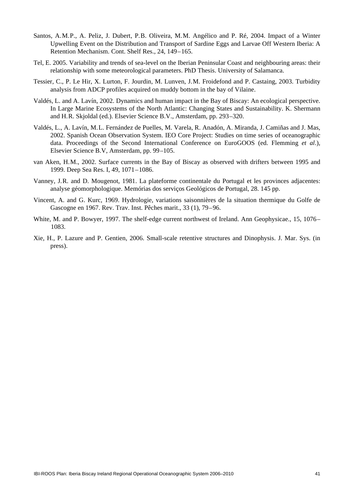- Santos, A.M.P., A. Peliz, J. Dubert, P.B. Oliveira, M.M. Angélico and P. Ré, 2004. Impact of a Winter Upwelling Event on the Distribution and Transport of Sardine Eggs and Larvae Off Western Iberia: A Retention Mechanism. Cont. Shelf Res., 24, 149–165.
- Tel, E. 2005. Variability and trends of sea-level on the Iberian Peninsular Coast and neighbouring areas: their relationship with some meteorological parameters. PhD Thesis. University of Salamanca.
- Tessier, C., P. Le Hir, X. Lurton, F. Jourdin, M. Lunven, J.M. Froidefond and P. Castaing, 2003. Turbidity analysis from ADCP profiles acquired on muddy bottom in the bay of Vilaine.
- Valdés, L. and A. Lavín, 2002. Dynamics and human impact in the Bay of Biscay: An ecological perspective. In Large Marine Ecosystems of the North Atlantic: Changing States and Sustainability. K. Shermann and H.R. Skjoldal (ed.). Elsevier Science B.V., Amsterdam, pp. 293–320.
- Valdés, L., A. Lavín, M.L. Fernández de Puelles, M. Varela, R. Anadón, A. Miranda, J. Camiñas and J. Mas, 2002. Spanish Ocean Observation System. IEO Core Project: Studies on time series of oceanographic data. Proceedings of the Second International Conference on EuroGOOS (ed. Flemming *et al*.), Elsevier Science B.V, Amsterdam, pp. 99–105.
- van Aken, H.M., 2002. Surface currents in the Bay of Biscay as observed with drifters between 1995 and 1999. Deep Sea Res. I, 49, 1071–1086.
- Vanney, J.R. and D. Mougenot, 1981. La plateforme continentale du Portugal et les provinces adjacentes: analyse géomorphologique. Memórias dos serviços Geológicos de Portugal, 28. 145 pp.
- Vincent, A. and G. Kurc, 1969. Hydrologie, variations saisonnières de la situation thermique du Golfe de Gascogne en 1967. Rev. Trav. Inst. Pêches marit., 33 (1), 79–96.
- White, M. and P. Bowyer, 1997. The shelf-edge current northwest of Ireland. Ann Geophysicae., 15, 1076– 1083.
- Xie, H., P. Lazure and P. Gentien, 2006. Small-scale retentive structures and Dinophysis. J. Mar. Sys. (in press).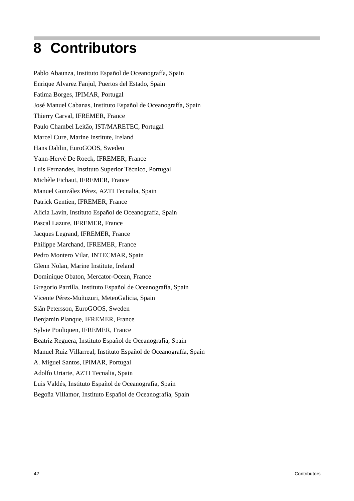# **8 Contributors**

Pablo Abaunza, Instituto Español de Oceanografía, Spain Enrique Alvarez Fanjul, Puertos del Estado, Spain Fatima Borges, IPIMAR, Portugal José Manuel Cabanas, Instituto Español de Oceanografía, Spain Thierry Carval, IFREMER, France Paulo Chambel Leitão, IST/MARETEC, Portugal Marcel Cure, Marine Institute, Ireland Hans Dahlin, EuroGOOS, Sweden Yann-Hervé De Roeck, IFREMER, France Luís Fernandes, Instituto Superior Técnico, Portugal Michèle Fichaut, IFREMER, France Manuel González Pérez, AZTI Tecnalia, Spain Patrick Gentien, IFREMER, France Alicia Lavín, Instituto Español de Oceanografía, Spain Pascal Lazure, IFREMER, France Jacques Legrand, IFREMER, France Philippe Marchand, IFREMER, France Pedro Montero Vilar, INTECMAR, Spain Glenn Nolan, Marine Institute, Ireland Dominique Obaton, Mercator-Ocean, France Gregorio Parrilla, Instituto Español de Oceanografía, Spain Vicente Pérez-Muñuzuri, MeteoGalicia, Spain Siân Petersson, EuroGOOS, Sweden Benjamin Planque, IFREMER, France Sylvie Pouliquen, IFREMER, France Beatriz Reguera, Instituto Español de Oceanografía, Spain Manuel Ruiz Villarreal, Instituto Español de Oceanografía, Spain A. Miguel Santos, IPIMAR, Portugal Adolfo Uriarte, AZTI Tecnalia, Spain Luis Valdés, Instituto Español de Oceanografía, Spain Begoña Villamor, Instituto Español de Oceanografía, Spain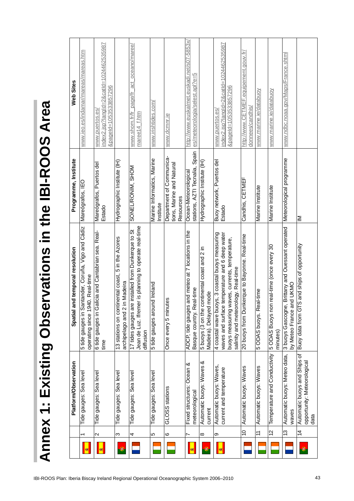| Programme, Institute<br>nd temporal resolution | Mareógrafos, IEC<br>5 tide gauges in Santander, Coruña, Vigo and Cádiz | Mareógrafos, Puertos del<br>Estado<br>6 tide gauges in Galicia and Cantabrian sea. Real- | Hydrographic Institute (IH)<br>inental coast, 5 in the Azores | SONEL/RONIM, SHOM<br>Jean de Luz. Ifremer is planning to operate real-time<br>17 tides gauges are installed from Dunkerque to St | Marine Informatics, Marine<br>Institute | Department of Communica-<br>tions, Marine and Natural<br>Resources | Spain<br>stations, AZTI Tecnalia,<br>Ocean-Meteorological<br>and meteo at 7 locations in the | Hydrographic Institute (IH)                                                                           | Buoy network, Puertos del<br>Estado<br>4 coastal wave buoys, 3 coastal buoys measuring<br>waves and surface temperature and 6 deep water<br>buoys measuring waves, currents, temperature, | Candhis, CETMEF<br>20 buoys from Dunkerque to Bayonne. Real-time | Marine Institute                                  | Marine Institute<br>n real-time (once every 30               | Meteorological programme<br>Brittany and Ouessant operated                    |
|------------------------------------------------|------------------------------------------------------------------------|------------------------------------------------------------------------------------------|---------------------------------------------------------------|----------------------------------------------------------------------------------------------------------------------------------|-----------------------------------------|--------------------------------------------------------------------|----------------------------------------------------------------------------------------------|-------------------------------------------------------------------------------------------------------|-------------------------------------------------------------------------------------------------------------------------------------------------------------------------------------------|------------------------------------------------------------------|---------------------------------------------------|--------------------------------------------------------------|-------------------------------------------------------------------------------|
| Spatial ar<br><b>Platform/Observation</b>      | operating since 1940. Real-time                                        | time                                                                                     | archipelago and 2 in Madeira<br>13 stations on conti          | diffusion                                                                                                                        | 5 tide gauges around Ireland            | es<br>Once every 5 minut                                           | Basque country. Real-time<br>ADCP, tide gauges<br>య<br>Ocean                                 | 5 buoys (3 on the continental coast and 2 in<br>mode<br>Madeira). Delayed<br>Automatic buoys: Waves & | salinity and meteorology. Real-time<br>Automatic buoys: Waves,<br>current and temperature                                                                                                 | Automatic buoys: Waves                                           | 5 ODAS buoys. Real-time<br>Automatic buoys: Waves | 5 ODAS Buoys non<br>minutes)<br>Temperature and Conductivity | by Meteo France and UKMO<br>3 buoys Gascogne,<br>Automatic buoys: Meteo data, |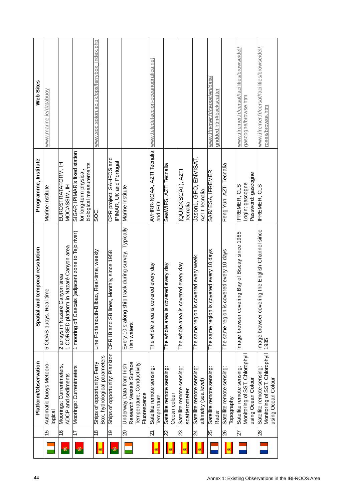| 44                                                  |   |                 | <b>Platform/Observation</b>                                                                        | Spatial and temporal resolution                                                   | Programme, Institute                                                                | Web Sites                                                           |
|-----------------------------------------------------|---|-----------------|----------------------------------------------------------------------------------------------------|-----------------------------------------------------------------------------------|-------------------------------------------------------------------------------------|---------------------------------------------------------------------|
|                                                     |   | 45              | Automatic buoys Meteoro-<br>logical                                                                | 5 ODAS buoys. Real-time                                                           | Marine Institute                                                                    | www.marine.ie/databuoy                                              |
|                                                     | ۰ | $\frac{6}{5}$   | Moorings: Currentmeters,<br>ADCP and sediments                                                     | m in Nazaré Canyon area<br>Canyon area<br>2 arrays in Nazaré<br>1 CORSED platforn | EUROSTRATAFORM, IH<br>MOCASSIM, IH                                                  |                                                                     |
|                                                     | ۱ | $\overline{1}$  | Moorings: Currentmeters                                                                            | 1 mooring off Cascais (adjacent zone to Tejo river)                               | SIGAP, IPIMAR's fixed station<br>biological measurements<br>for long-term physical, |                                                                     |
|                                                     | ⊠ | $\frac{8}{1}$   | Box, hydrological parameters<br>Ships of opportunity: Ferry                                        | ilbao, Real-time, weekly<br>Line Portsmouth-B                                     | န္တ                                                                                 | www.soc.soton.ac.uk/ops/ferrybox_index.php                          |
|                                                     | ۳ | 9               | Ships of opportunity: Plankton                                                                     | es, Monthly, since 1958<br>CPR IB and SB line                                     | CPR project, SAHFOS and<br>IPIMAR, UK and Portugal                                  |                                                                     |
|                                                     |   | $\overline{0}$  | Research Vessels Surface<br>Temperature, Conductivity,<br>Underway Data from Irish<br>Fluorescence | Every 10 s along ship track during survey. Typically<br>Irish waters              | Marine Institute                                                                    |                                                                     |
|                                                     | ø | 21              | Satellite remote sensing:<br>Temperature                                                           | covered every day<br>The whole area is                                            | AVHRR-NOAA, AZTI Tecnalia<br>and IEO                                                | www.teledeteccion-oceanografica.net                                 |
|                                                     |   | $\overline{2}$  | Satellite remote sensing:<br>Ocean colour                                                          | covered every day<br>The whole area is                                            | SeaWIFS, AZTI Tecnalia                                                              |                                                                     |
|                                                     | 嚫 | 23              | Satellite remote sensing:<br>scatterometer                                                         | covered every day<br>The whole area is                                            | (QUICKSCAT), AZTI<br>Tecnalia                                                       |                                                                     |
|                                                     | 喇 | $\overline{2}$  | Satellite remote sensing:<br>altimetry (sea level)                                                 | The same region is covered every week                                             | Jason1, GFO, ENVISAT,<br><b>AZTI</b> Tecnalia                                       |                                                                     |
|                                                     |   | 25              | Satellite remote sensing:<br>Radar                                                                 | The same region is covered every 10 days                                          | SAR/ESA, IFREMER                                                                    | www.ifremer.fr/cersat/en/data/<br>gridded.htm#backscatter           |
|                                                     | 嚫 | 26              | Satellite remote sensing:<br>Topography                                                            | The same region is covered every 10 days                                          | Feng Yun, AZTI Tecnalia                                                             |                                                                     |
|                                                     |   | $\overline{27}$ | Monitoring of SST, Chlorophyll<br>Satellite remote sensing:<br>using Ocean Colour                  | ering Bay of Biscay since 1985<br>Image browser cov                               | Password: gascogne<br>Login: gascogne<br><b>IFREMER, CLS</b>                        | www.ifremer.fr/cersat/facilities/browse/del/<br>gascogne/browse.htm |
|                                                     |   | $\overline{28}$ | Monitoring of SST, Chlorophyll<br>Satellite remote sensing:<br>using Ocean Colour                  | ering the English Channel since<br>Image browser cov<br>1985                      | <b>IFREMER, CLS</b>                                                                 | www.ifremer.fr/cersat/facilities/browse/del/<br>roses/browse.htm    |
| Annex 1: Existing Observations in the IBI-ROOS Area |   |                 |                                                                                                    |                                                                                   |                                                                                     |                                                                     |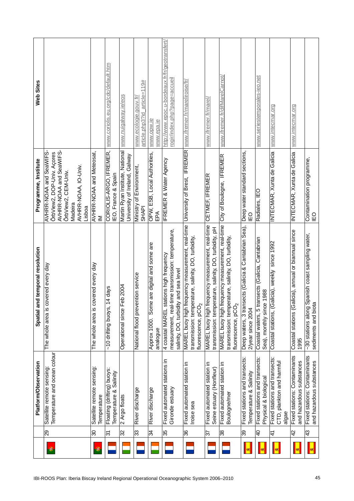|                                                                                          |            |                       | <b>Platform/Observation</b>                                         | Spatial and temporal resolution                                                                                                           | Programme, Institute                                                                                                                                 | Web Sites                                                                      |
|------------------------------------------------------------------------------------------|------------|-----------------------|---------------------------------------------------------------------|-------------------------------------------------------------------------------------------------------------------------------------------|------------------------------------------------------------------------------------------------------------------------------------------------------|--------------------------------------------------------------------------------|
| IBI-ROOS Plan: Iberia Biscay Ireland Regional Operational Oceanographic System 2006-2010 | $^{\circ}$ | 8Z                    | Temperature and ocean colour<br>Satellite remote sensing            | covered every day<br>The whole area is                                                                                                    | AVHRR-NOAA and SeaWIFS-<br>AVHRR-NOAA and SeaWIFS-<br>OrbView2, DOP-Univ. Acores<br>AVHRR-NOAA, IO-Univ.<br>ÖrbView2, CEM-Univ.<br>Madeira<br>Lisboa |                                                                                |
|                                                                                          | ◉          | $\infty$              | Satellite remote sensing:<br>Temperature                            | covered every day<br>The whole area is                                                                                                    | AVHRR-NOAA and Meteosat,<br>$\geq$                                                                                                                   |                                                                                |
|                                                                                          |            | $\overline{\epsilon}$ | Floating (drifting) buoys:<br>Temperature & Salinity                | 14 days<br>~10 drifting buoys,                                                                                                            | CORIOLIS-ARGO, IFREMER,<br>IEO, France & Spain                                                                                                       | www.coriolis.eu.org/cdc/default.htm                                            |
|                                                                                          |            | 32                    | 2 Argo floats                                                       | Feb 2004<br>Operational since                                                                                                             | Martin Ryan Institute, National<br>University of Ireland, Galway                                                                                     | www.nuigalway.ie/eos                                                           |
|                                                                                          |            | 33                    | River discharge                                                     | National flood prevention service                                                                                                         | Ministry of Environment,<br><b>SHAPI</b>                                                                                                             | article=119#<br>www.ecologie.gouv.fr/<br>article.php3?id                       |
|                                                                                          |            | 34                    | River discharge                                                     | Some are digital and some are<br>Approx 1000.<br>analogue                                                                                 | OPW, ESB, Local Authorities,<br>EPA                                                                                                                  | www.opw.ie<br>www.epa.ie                                                       |
|                                                                                          |            | 35                    | Fixed automated stations in<br>Gironde estuary                      | time transmission: temperature,<br>4 coastal MAREL stations high frequency<br>salinity, DO, turbidity and sea level<br>measurement, real  | <b>IFREMER &amp; Water Agency</b>                                                                                                                    | http://www.epoc.u-bordeaux.fr/fr/geotransfert/<br>rogir/index.php?page=accueil |
|                                                                                          |            | 36                    | Fixed automated station in<br>Iroise sea                            | MAREL buoy high frequency measurement, real-time<br>transmission: temperature, salinity, DO, turbidity,<br>fluorescence, pCO <sub>2</sub> | University of Brest, IFREMER                                                                                                                         | www.ifremer.fr/mareliroise/fr/                                                 |
|                                                                                          |            | 57                    | Fixed automated station in<br>Seine estuary (Honfleur)              | MAREL buoy high frequency measurement, real-time<br>transmission: temperature, salinity, DO, turbidity, pH                                | CETMEF, IFREMER                                                                                                                                      | www.ifremer.fr/marel/                                                          |
|                                                                                          |            | 38                    | Fixed automated station in<br><b>Boulogne/mer</b>                   | MAREL buoy high frequency measurement, real-time<br>transmission: temperature, salinity, DO, turbidity,<br>fluorescence, $pCO2$           | City of Boulogne, IFREMER                                                                                                                            | www.ifremer.fr/difMarelCarnot/                                                 |
|                                                                                          | ø          | 39                    | Fixed stations and transects:<br>Temperature & Salinity             | Deep waters, 3 transects (Galicia & Cantabrian Sea),<br>2/year since 2004                                                                 | Deep water standard sections,<br>IΕO                                                                                                                 |                                                                                |
|                                                                                          | Ø.         | $\overline{4}$        | Fixed stations and transects:<br>Physical & biological              | Coastal waters, 5 transects (Galicia, Cantabrian<br>Sea), monthly since 1988                                                              | Radiales, IEO                                                                                                                                        | www.seriestemporales-ieo.net                                                   |
|                                                                                          | ø          | 4                     | Fixed stations and transects:<br>CTD, plankton and harmful<br>algae | Coastal stations, (Galicia), weekly since 1992                                                                                            | INTECMAR, Xunta de Galicia                                                                                                                           | www.intecmar.org                                                               |
|                                                                                          | ø          | $\overline{4}$        | Fixed stations: Contaminants<br>and hazardous substances            | alicia), annual or biannual since<br>Coastal stations (G<br>1995                                                                          | INTECMAR, Xunta de Galicia                                                                                                                           | www.intecmar.org                                                               |
| 45                                                                                       | Q.         | $\frac{3}{4}$         | Fixed stations: Contaminants<br>and hazardous substances            | Spanish coast sampling water,<br>sediments and biota<br>~30 stations along                                                                | Contamination programme,<br>Γō                                                                                                                       |                                                                                |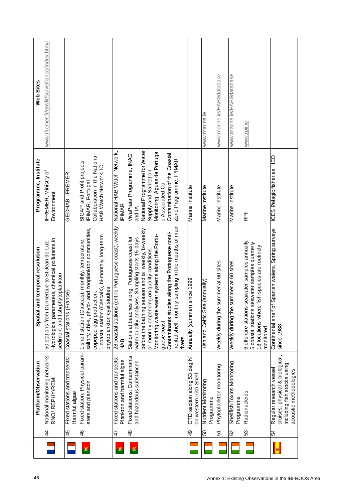| 46                                                  |            |                | <b>Platform/Observation</b>                                                                                         | Spatial and temporal resolution                                                                                                                                                                                                                                                                                                                                                                                      | Programme, Institute                                                                                                                                                                                        | Web Sites                                     |
|-----------------------------------------------------|------------|----------------|---------------------------------------------------------------------------------------------------------------------|----------------------------------------------------------------------------------------------------------------------------------------------------------------------------------------------------------------------------------------------------------------------------------------------------------------------------------------------------------------------------------------------------------------------|-------------------------------------------------------------------------------------------------------------------------------------------------------------------------------------------------------------|-----------------------------------------------|
|                                                     |            | 4              | National monitoring networks<br>RNO/REPHY/REMI                                                                      | Hydrological parameters, chemical pollutants in<br>unkerque to St Jean de Luz.<br>sediment and fish/phytoplankton<br>50 stations from D                                                                                                                                                                                                                                                                              | <b>IFREMER, Ministry of</b><br>Environment                                                                                                                                                                  | www.ifremer.fr/envlit/surveillance/index.htm# |
|                                                     |            | 45             | Fixed stations and transects:<br>Harmful algae                                                                      | Coastal stations (France)                                                                                                                                                                                                                                                                                                                                                                                            | GEOHAB, IFREMER                                                                                                                                                                                             |                                               |
|                                                     | ۰          | $\frac{4}{6}$  | Fixed station: Physical param-<br>eters and plankton                                                                | salinity, chl-a, phyto- and zooplankton communities,<br>1 coastal station (Cascais), bi-monthly, long-term<br>1 shelf station (Cascais), monthly, temperature,<br>studies<br>copepod egg production.<br>phytoplankton cyst                                                                                                                                                                                           | Collaboration in the National<br>SIGAP and Profit projects,<br>HAB Watch Network, IO<br>IPIMAR, Portugal                                                                                                    |                                               |
|                                                     | ۰          | 47             | Fixed stations and transects:<br>Plankton and harmful algae                                                         | (entire Portuguese coast), weekly,<br>28 coastal stations<br>HAB                                                                                                                                                                                                                                                                                                                                                     | National HAB Watch Network,<br><b>IPIMAR</b>                                                                                                                                                                |                                               |
|                                                     | $^{\circ}$ | $\frac{8}{3}$  | Fixed stations: Contaminants<br>and hazardous substances                                                            | nental shelf, monthly sampling in the mouths of main<br>water quality analyses. Sampling starts 15 days<br>before the bathing season and is weekly, bi-weekly<br>Contaminants studies along the Portuguese conti-<br>Monitoring waste water systems along the Portu-<br>Stations at beaches along Portuguese coast for<br>or monthly depending on quality conditions.<br>before the bathing<br>guese coast<br>rivers | National Programme for Water<br>Monitoring, Aguas de Portugal<br>Contamination of the Coastal<br>VivaPraia Programme, INAG<br>Zone Programme, IPIMAR<br>Supply and Sanitation<br>e Associated Co.<br>and IA |                                               |
|                                                     |            | $\frac{9}{4}$  | CTD section along 53 deg N<br>on western Irish Shelf                                                                | since 1999<br>Annually (summer)                                                                                                                                                                                                                                                                                                                                                                                      | Marine Institute                                                                                                                                                                                            |                                               |
|                                                     |            | SO             | Nutrient Monitoring<br>Programme                                                                                    | Irish and Celtic Sea (annually)                                                                                                                                                                                                                                                                                                                                                                                      | Marine Institute                                                                                                                                                                                            | www.marine.ie                                 |
|                                                     |            | 5              | Phytoplankton monitoring                                                                                            | summer at 60 sites<br>Weekly during the                                                                                                                                                                                                                                                                                                                                                                              | Marine Institute                                                                                                                                                                                            | www.marine.ie/HABSdatabase                    |
|                                                     |            | S <sub>2</sub> | Shellfish Toxins Monitoring<br>Programme                                                                            | Weekly during the summer at 60 sites                                                                                                                                                                                                                                                                                                                                                                                 | Marine Institute                                                                                                                                                                                            | www.marine.ie/HABSdatabase                    |
| Annex 1: Existing Observations in the IBI-ROOS Area |            | 53             | Radionucleids                                                                                                       | seawater samples annually,<br>eawater samples quarterly<br>fish species are routinely<br>5 coastal stations s<br>13 locations where<br>6 offshore stations<br>monitored                                                                                                                                                                                                                                              | RPII                                                                                                                                                                                                        | www.rpii.ie                                   |
|                                                     | ⊠          | 54             | cruises: physical & biological,<br>including fish stocks using<br>Regular research vessel<br>acoustic methodologies | Spanish waters, Spring surveys<br>Continental shelf of<br>since 1988                                                                                                                                                                                                                                                                                                                                                 | $\overline{10}$<br>ICES Pelagic fisheries,                                                                                                                                                                  |                                               |
|                                                     |            |                |                                                                                                                     |                                                                                                                                                                                                                                                                                                                                                                                                                      |                                                                                                                                                                                                             |                                               |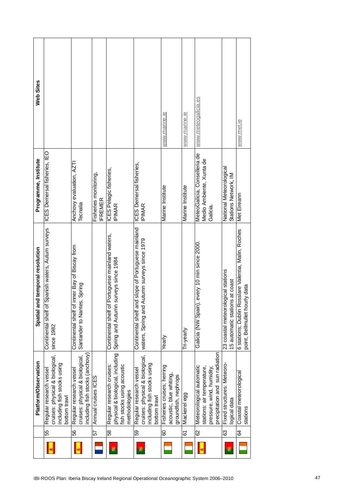|   |    | <b>Platform/Observation</b>                                                                                            | Spatial and temporal resolution                                                                    | Programme, Institute                                                 | Web Sites           |
|---|----|------------------------------------------------------------------------------------------------------------------------|----------------------------------------------------------------------------------------------------|----------------------------------------------------------------------|---------------------|
| ⊠ | 55 | cruises: physical & biological,<br>including fish stocks using<br>Regular research vessel<br>bottom trawl              | f Spanish waters, Autum surveys<br>Continental shelf of<br>since 1982                              | ICES Demersal fisheries, IEO                                         |                     |
| ø | 56 | including fish stocks (anchovy)<br>cruises: physical & biological,<br>Regular research vessel                          | inner Bay of Biscay from<br>Santander to Nantes, Spring<br>Continental shelf of                    | Anchovy evaluation, AZTI<br>Tecnalia                                 |                     |
|   | 57 | Annual cruises ICES                                                                                                    |                                                                                                    | Fisheries monitoring,<br>FREMER                                      |                     |
| ۲ | 58 | physical & biological, including<br>Regular research cruises:<br>fish stocks using acoustic<br>methodologies           | Portuguese mainland waters,<br>surveys since 1984<br>Continental shelf of<br>Spring and Autumn     | ICES Pelagic fisheries,<br>IPIMAR                                    |                     |
| ۸ | 59 | cruises: physical & biological,<br>including fish stocks using<br>Regular research vessel<br>bottom trawl              | Continental shelf and slope of Portuguese mainland<br>waters, Spring and Autumn surveys since 1979 | ICES Demersal fisheries,<br>IPIMAR                                   |                     |
|   | 8  | Fisheries cruises; herring<br>acoustic, blue whiting,<br>groundfish, nephrops                                          | Yearly                                                                                             | Marine Institute                                                     | www.marine.ie       |
|   | 61 | Mackerel egg                                                                                                           | Tri-yearly                                                                                         | Marine Institute                                                     | www.marine.ie       |
| ⊠ | 29 | precipitation and sun radiation<br>Meteorological automatic<br>stations: air temperature,<br>pressure, wind, humidity, | , every 10 min since 2000<br>Galicia (NW Spain)                                                    | MeteoGalicia, Conselleria de<br>Medio Ambiente, Xunta de<br>Galicia. | www.meteogalicia.es |
| ۰ | 63 | Fixed structures: Meteoro-<br>logical data                                                                             | 23 coastal meteorological stations<br>15 automatic stations at coast                               | National Meteorological<br>Stations Network, IM                      |                     |
|   | 5  | Coastal meteorological<br>stations                                                                                     | 6 stations; Dublin Rosslare Valentia, Malin, Roches<br>point, Bellmullet hourly data               | Met Eireann                                                          | www.met.ie          |